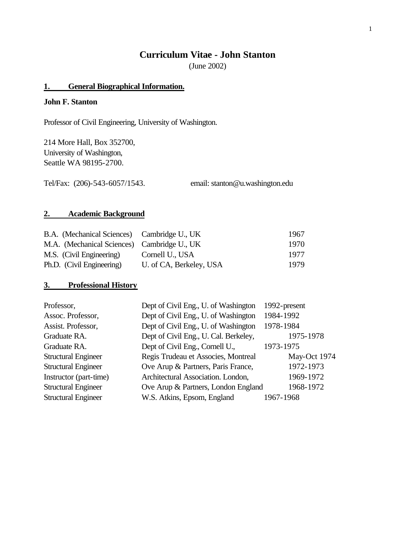# **Curriculum Vitae - John Stanton**

(June 2002)

# **1. General Biographical Information.**

## **John F. Stanton**

Professor of Civil Engineering, University of Washington.

214 More Hall, Box 352700, University of Washington, Seattle WA 98195-2700.

Tel/Fax: (206)-543-6057/1543. email: stanton@u.washington.edu

## **2. Academic Background**

| B.A. (Mechanical Sciences) Cambridge U., UK |                         | 1967 |
|---------------------------------------------|-------------------------|------|
| M.A. (Mechanical Sciences) Cambridge U., UK |                         | 1970 |
| M.S. (Civil Engineering)                    | Cornell U., USA         | 1977 |
| Ph.D. (Civil Engineering)                   | U. of CA, Berkeley, USA | 1979 |

# **3. Professional History**

| Professor,                 | Dept of Civil Eng., U. of Washington  | 1992-present |
|----------------------------|---------------------------------------|--------------|
| Assoc. Professor,          | Dept of Civil Eng., U. of Washington  | 1984-1992    |
| Assist. Professor,         | Dept of Civil Eng., U. of Washington  | 1978-1984    |
| Graduate RA.               | Dept of Civil Eng., U. Cal. Berkeley, | 1975-1978    |
| Graduate RA.               | Dept of Civil Eng., Cornell U.,       | 1973-1975    |
| <b>Structural Engineer</b> | Regis Trudeau et Associes, Montreal   | May-Oct 1974 |
| <b>Structural Engineer</b> | Ove Arup & Partners, Paris France,    | 1972-1973    |
| Instructor (part-time)     | Architectural Association. London,    | 1969-1972    |
| <b>Structural Engineer</b> | Ove Arup & Partners, London England   | 1968-1972    |
| <b>Structural Engineer</b> | W.S. Atkins, Epsom, England           | 1967-1968    |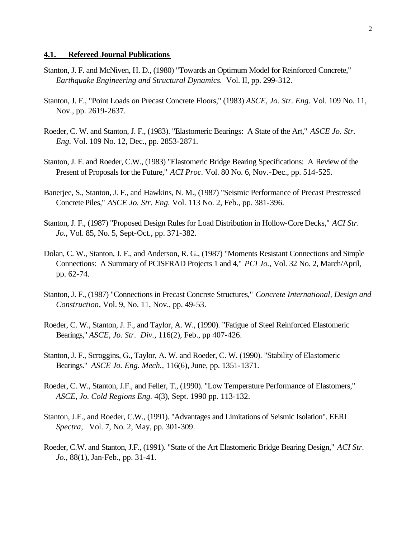#### **4.1. Refereed Journal Publications**

- Stanton, J. F. and McNiven, H. D., (1980) "Towards an Optimum Model for Reinforced Concrete," *Earthquake Engineering and Structural Dynamics.* Vol. II, pp. 299-312.
- Stanton, J. F., "Point Loads on Precast Concrete Floors," (1983) *ASCE, Jo. Str. Eng.* Vol. 109 No. 11, Nov., pp. 2619-2637.
- Roeder, C. W. and Stanton, J. F., (1983). "Elastomeric Bearings: A State of the Art," *ASCE Jo. Str. Eng.* Vol. 109 No. 12, Dec., pp. 2853-2871.
- Stanton, J. F. and Roeder, C.W., (1983) "Elastomeric Bridge Bearing Specifications: A Review of the Present of Proposals for the Future," *ACI Proc.* Vol. 80 No. 6, Nov.-Dec., pp. 514-525.
- Banerjee, S., Stanton, J. F., and Hawkins, N. M., (1987) "Seismic Performance of Precast Prestressed Concrete Piles," *ASCE Jo. Str. Eng.* Vol. 113 No. 2, Feb., pp. 381-396.
- Stanton, J. F., (1987) "Proposed Design Rules for Load Distribution in Hollow-Core Decks," *ACI Str. Jo.*, Vol. 85, No. 5, Sept-Oct., pp. 371-382.
- Dolan, C. W., Stanton, J. F., and Anderson, R. G., (1987) "Moments Resistant Connections and Simple Connections: A Summary of PCISFRAD Projects 1 and 4," *PCI Jo.,* Vol. 32 No. 2, March/April, pp. 62-74.
- Stanton, J. F., (1987) "Connections in Precast Concrete Structures," *Concrete International, Design and Construction,* Vol. 9, No. 11, Nov., pp. 49-53.
- Roeder, C. W., Stanton, J. F., and Taylor, A. W., (1990). "Fatigue of Steel Reinforced Elastomeric Bearings," *ASCE, Jo. Str. Div.,* 116(2), Feb., pp 407-426.
- Stanton, J. F., Scroggins, G., Taylor, A. W. and Roeder, C. W. (1990). "Stability of Elastomeric Bearings." *ASCE Jo. Eng. Mech.,* 116(6), June, pp. 1351-1371.
- Roeder, C. W., Stanton, J.F., and Feller, T., (1990). "Low Temperature Performance of Elastomers," *ASCE, Jo. Cold Regions Eng.* 4(3), Sept. 1990 pp. 113-132.
- Stanton, J.F., and Roeder, C.W., (1991). "Advantages and Limitations of Seismic Isolation". EERI *Spectra,* Vol. 7, No. 2, May, pp. 301-309.
- Roeder, C.W. and Stanton, J.F., (1991). "State of the Art Elastomeric Bridge Bearing Design," *ACI Str. Jo.,* 88(1), Jan-Feb., pp. 31-41.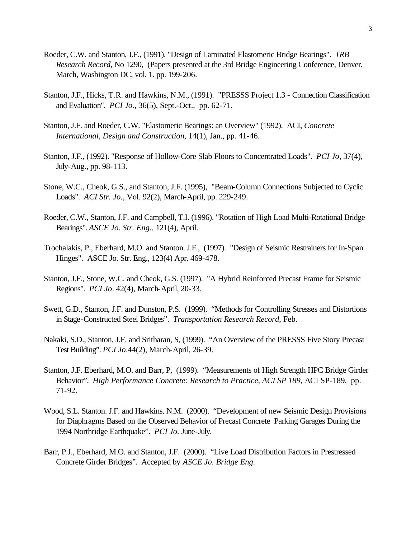- Roeder, C.W. and Stanton, J.F., (1991). "Design of Laminated Elastomeric Bridge Bearings". *TRB Research Record*, No 1290, (Papers presented at the 3rd Bridge Engineering Conference, Denver, March, Washington DC, vol. 1. pp. 199-206.
- Stanton, J.F., Hicks, T.R. and Hawkins, N.M., (1991). "PRESSS Project 1.3 Connection Classification and Evaluation". *PCI Jo.,* 36(5), Sept.-Oct., pp. 62-71.
- Stanton, J.F. and Roeder, C.W. "Elastomeric Bearings: an Overview" (1992). ACI, *Concrete International, Design and Construction,* 14(1), Jan., pp. 41-46.
- Stanton, J.F., (1992). "Response of Hollow-Core Slab Floors to Concentrated Loads". *PCI Jo*, 37(4), July-Aug., pp. 98-113.
- Stone, W.C., Cheok, G.S., and Stanton, J.F. (1995), "Beam-Column Connections Subjected to Cyclic Loads". *ACI Str. Jo.,* Vol. 92(2), March-April, pp. 229-249.
- Roeder, C.W., Stanton, J.F. and Campbell, T.I. (1996). "Rotation of High Load Multi-Rotational Bridge Bearings". *ASCE Jo. Str. Eng.,* 121(4), April.
- Trochalakis, P., Eberhard, M.O. and Stanton. J.F., (1997). "Design of Seismic Restrainers for In-Span Hinges". ASCE Jo. Str. Eng., 123(4) Apr. 469-478.
- Stanton, J.F., Stone, W.C. and Cheok, G.S. (1997). "A Hybrid Reinforced Precast Frame for Seismic Regions". *PCI Jo*. 42(4), March-April, 20-33.
- Swett, G.D., Stanton, J.F. and Dunston, P.S. (1999). "Methods for Controlling Stresses and Distortions in Stage-Constructed Steel Bridges". *Transportation Research Record*, Feb.
- Nakaki, S.D., Stanton, J.F. and Sritharan, S, (1999). "An Overview of the PRESSS Five Story Precast Test Building". *PCI Jo*.44(2), March-April, 26-39.
- Stanton, J.F. Eberhard, M.O. and Barr, P, (1999). "Measurements of High Strength HPC Bridge Girder Behavior". *High Performance Concrete: Research to Practice, ACI SP 189*, ACI SP-189. pp. 71-92.
- Wood, S.L. Stanton. J.F. and Hawkins. N.M. (2000). "Development of new Seismic Design Provisions for Diaphragms Based on the Observed Behavior of Precast Concrete Parking Garages During the 1994 Northridge Earthquake". *PCI Jo.* June-July.
- Barr, P.J., Eberhard, M.O. and Stanton, J.F. (2000). "Live Load Distribution Factors in Prestressed Concrete Girder Bridges". Accepted by *ASCE Jo. Bridge Eng.*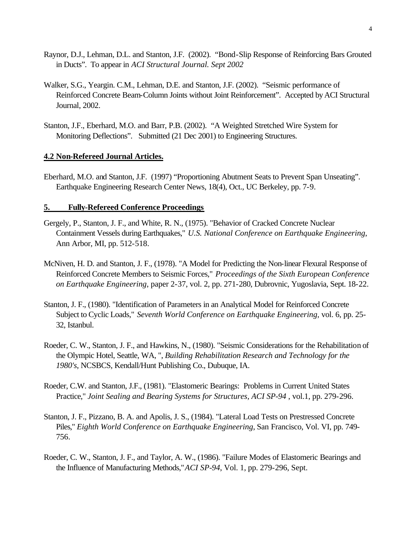- Raynor, D.J., Lehman, D.L. and Stanton, J.F. (2002). "Bond-Slip Response of Reinforcing Bars Grouted in Ducts". To appear in *ACI Structural Journal. Sept 2002*
- Walker, S.G., Yeargin. C.M., Lehman, D.E. and Stanton, J.F. (2002). "Seismic performance of Reinforced Concrete Beam-Column Joints without Joint Reinforcement". Accepted by ACI Structural Journal, 2002.
- Stanton, J.F., Eberhard, M.O. and Barr, P.B. (2002). "A Weighted Stretched Wire System for Monitoring Deflections". Submitted (21 Dec 2001) to Engineering Structures.

### **4.2 Non-Refereed Journal Articles.**

Eberhard, M.O. and Stanton, J.F. (1997) "Proportioning Abutment Seats to Prevent Span Unseating". Earthquake Engineering Research Center News, 18(4), Oct., UC Berkeley, pp. 7-9.

### **5. Fully-Refereed Conference Proceedings**

- Gergely, P., Stanton, J. F., and White, R. N., (1975). "Behavior of Cracked Concrete Nuclear Containment Vessels during Earthquakes," *U.S. National Conference on Earthquake Engineering*, Ann Arbor, MI, pp. 512-518.
- McNiven, H. D. and Stanton, J. F., (1978). "A Model for Predicting the Non-linear Flexural Response of Reinforced Concrete Members to Seismic Forces," *Proceedings of the Sixth European Conference on Earthquake Engineering*, paper 2-37, vol. 2, pp. 271-280, Dubrovnic, Yugoslavia, Sept. 18-22.
- Stanton, J. F., (1980). "Identification of Parameters in an Analytical Model for Reinforced Concrete Subject to Cyclic Loads," *Seventh World Conference on Earthquake Engineering,* vol. 6, pp. 25- 32, Istanbul.
- Roeder, C. W., Stanton, J. F., and Hawkins, N., (1980). "Seismic Considerations for the Rehabilitation of the Olympic Hotel, Seattle, WA, ", *Building Rehabilitation Research and Technology for the 1980's*, NCSBCS, Kendall/Hunt Publishing Co., Dubuque, IA.
- Roeder, C.W. and Stanton, J.F., (1981). "Elastomeric Bearings: Problems in Current United States Practice," *Joint Sealing and Bearing Systems for Structures, ACI SP-94* , vol.1, pp. 279-296.
- Stanton, J. F., Pizzano, B. A. and Apolis, J. S., (1984). "Lateral Load Tests on Prestressed Concrete Piles," *Eighth World Conference on Earthquake Engineering*, San Francisco, Vol. VI, pp. 749- 756.
- Roeder, C. W., Stanton, J. F., and Taylor, A. W., (1986). "Failure Modes of Elastomeric Bearings and the Influence of Manufacturing Methods," *ACI SP-94*, Vol. 1, pp. 279-296, Sept.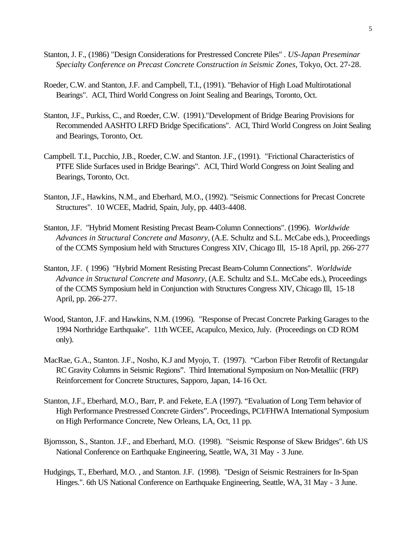- Stanton, J. F., (1986) "Design Considerations for Prestressed Concrete Piles" . *US-Japan Preseminar Specialty Conference on Precast Concrete Construction in Seismic Zones*, Tokyo, Oct. 27-28.
- Roeder, C.W. and Stanton, J.F. and Campbell, T.I., (1991). "Behavior of High Load Multirotational Bearings". ACI, Third World Congress on Joint Sealing and Bearings, Toronto, Oct.
- Stanton, J.F., Purkiss, C., and Roeder, C.W. (1991)."Development of Bridge Bearing Provisions for Recommended AASHTO LRFD Bridge Specifications". ACI, Third World Congress on Joint Sealing and Bearings, Toronto, Oct.
- Campbell. T.I., Pucchio, J.B., Roeder, C.W. and Stanton. J.F., (1991). "Frictional Characteristics of PTFE Slide Surfaces used in Bridge Bearings". ACI, Third World Congress on Joint Sealing and Bearings, Toronto, Oct.
- Stanton, J.F., Hawkins, N.M., and Eberhard, M.O., (1992). "Seismic Connections for Precast Concrete Structures". 10 WCEE, Madrid, Spain, July, pp. 4403-4408.
- Stanton, J.F. "Hybrid Moment Resisting Precast Beam-Column Connections". (1996). *Worldwide Advances in Structural Concrete and Masonry*, (A.E. Schultz and S.L. McCabe eds.), Proceedings of the CCMS Symposium held with Structures Congress XIV, Chicago Ill, 15-18 April, pp. 266-277
- Stanton, J.F. ( 1996) "Hybrid Moment Resisting Precast Beam-Column Connections". *Worldwide Advance in Structural Concrete and Masonry*, (A.E. Schultz and S.L. McCabe eds.), Proceedings of the CCMS Symposium held in Conjunction with Structures Congress XIV, Chicago Ill, 15-18 April, pp. 266-277.
- Wood, Stanton, J.F. and Hawkins, N.M. (1996). "Response of Precast Concrete Parking Garages to the 1994 Northridge Earthquake". 11th WCEE, Acapulco, Mexico, July. (Proceedings on CD ROM only).
- MacRae, G.A., Stanton. J.F., Nosho, K.J and Myojo, T. (1997). "Carbon Fiber Retrofit of Rectangular RC Gravity Columns in Seismic Regions". Third International Symposium on Non-Metalliic (FRP) Reinforcement for Concrete Structures, Sapporo, Japan, 14-16 Oct.
- Stanton, J.F., Eberhard, M.O., Barr, P. and Fekete, E.A (1997). "Evaluation of Long Term behavior of High Performance Prestressed Concrete Girders". Proceedings, PCI/FHWA International Symposium on High Performance Concrete, New Orleans, LA, Oct, 11 pp.
- Bjornsson, S., Stanton. J.F., and Eberhard, M.O. (1998). "Seismic Response of Skew Bridges". 6th US National Conference on Earthquake Engineering, Seattle, WA, 31 May - 3 June.
- Hudgings, T., Eberhard, M.O. , and Stanton. J.F. (1998). "Design of Seismic Restrainers for In-Span Hinges.". 6th US National Conference on Earthquake Engineering, Seattle, WA, 31 May - 3 June.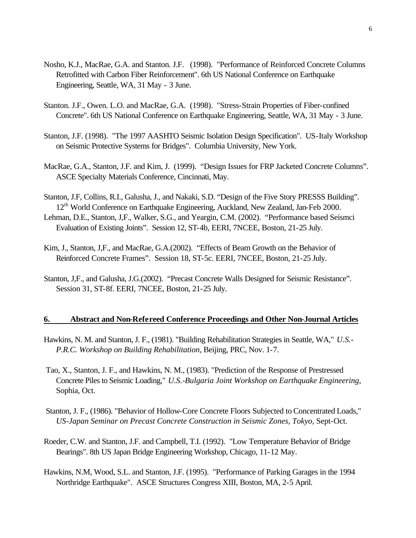- Nosho, K.J., MacRae, G.A. and Stanton. J.F. (1998). "Performance of Reinforced Concrete Columns Retrofitted with Carbon Fiber Reinforcement". 6th US National Conference on Earthquake Engineering, Seattle, WA, 31 May - 3 June.
- Stanton. J.F., Owen. L.O. and MacRae, G.A. (1998). "Stress-Strain Properties of Fiber-confined Concrete". 6th US National Conference on Earthquake Engineering, Seattle, WA, 31 May - 3 June.
- Stanton, J.F. (1998). "The 1997 AASHTO Seismic Isolation Design Specification". US-Italy Workshop on Seismic Protective Systems for Bridges". Columbia University, New York.
- MacRae, G.A., Stanton, J.F. and Kim, J. (1999). "Design Issues for FRP Jacketed Concrete Columns". ASCE Specialty Materials Conference, Cincinnati, May.
- Stanton, J.F, Collins, R.I., Galusha, J., and Nakaki, S.D. "Design of the Five Story PRESSS Building". 12<sup>th</sup> World Conference on Earthquake Engineering, Auckland, New Zealand, Jan-Feb 2000.
- Lehman, D.E., Stanton, J,F., Walker, S.G., and Yeargin, C.M. (2002). "Performance based Seismci Evaluation of Existing Joints". Session 12, ST-4b, EERI, 7NCEE, Boston, 21-25 July.
- Kim, J., Stanton, J,F., and MacRae, G.A.(2002). "Effects of Beam Growth on the Behavior of Reinforced Concrete Frames". Session 18, ST-5c. EERI, 7NCEE, Boston, 21-25 July.
- Stanton, J,F., and Galusha, J.G.(2002). "Precast Concrete Walls Designed for Seismic Resistance". Session 31, ST-8f. EERI, 7NCEE, Boston, 21-25 July.

### **6. Abstract and Non-Refereed Conference Proceedings and Other Non-Journal Articles**

- Hawkins, N. M. and Stanton, J. F., (1981). "Building Rehabilitation Strategies in Seattle, WA," *U.S.- P.R.C. Workshop on Building Rehabilitation*, Beijing, PRC, Nov. 1-7.
- Tao, X., Stanton, J. F., and Hawkins, N. M., (1983). "Prediction of the Response of Prestressed Concrete Piles to Seismic Loading," *U.S.-Bulgaria Joint Workshop on Earthquake Engineering,* Sophia, Oct.
- Stanton, J. F., (1986). "Behavior of Hollow-Core Concrete Floors Subjected to Concentrated Loads," *US-Japan Seminar on Precast Concrete Construction in Seismic Zones, Tokyo*, Sept-Oct.
- Roeder, C.W. and Stanton, J.F. and Campbell, T.I. (1992). "Low Temperature Behavior of Bridge Bearings". 8th US Japan Bridge Engineering Workshop, Chicago, 11-12 May.
- Hawkins, N.M, Wood, S.L. and Stanton, J.F. (1995). "Performance of Parking Garages in the 1994 Northridge Earthquake". ASCE Structures Congress XIII, Boston, MA, 2-5 April.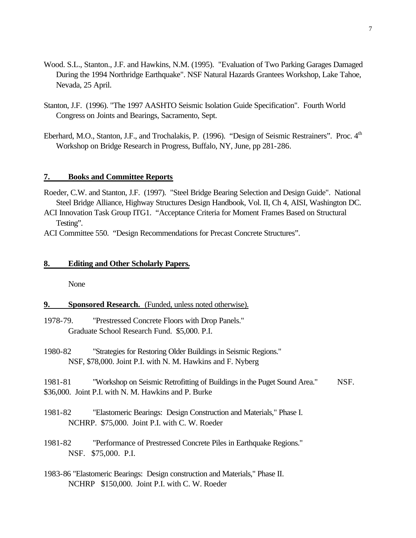- Wood. S.L., Stanton., J.F. and Hawkins, N.M. (1995). "Evaluation of Two Parking Garages Damaged During the 1994 Northridge Earthquake". NSF Natural Hazards Grantees Workshop, Lake Tahoe, Nevada, 25 April.
- Stanton, J.F. (1996). "The 1997 AASHTO Seismic Isolation Guide Specification". Fourth World Congress on Joints and Bearings, Sacramento, Sept.
- Eberhard, M.O., Stanton, J.F., and Trochalakis, P. (1996). "Design of Seismic Restrainers". Proc. 4<sup>th</sup> Workshop on Bridge Research in Progress, Buffalo, NY, June, pp 281-286.

### **7. Books and Committee Reports**

- Roeder, C.W. and Stanton, J.F. (1997). "Steel Bridge Bearing Selection and Design Guide". National Steel Bridge Alliance, Highway Structures Design Handbook, Vol. II, Ch 4, AISI, Washington DC.
- ACI Innovation Task Group ITG1. "Acceptance Criteria for Moment Frames Based on Structural Testing".

ACI Committee 550. "Design Recommendations for Precast Concrete Structures".

#### **8. Editing and Other Scholarly Papers.**

None

#### **9. Sponsored Research.** (Funded, unless noted otherwise).

- 1978-79. "Prestressed Concrete Floors with Drop Panels." Graduate School Research Fund. \$5,000. P.I.
- 1980-82 "Strategies for Restoring Older Buildings in Seismic Regions." NSF, \$78,000. Joint P.I. with N. M. Hawkins and F. Nyberg

1981-81 "Workshop on Seismic Retrofitting of Buildings in the Puget Sound Area." NSF. \$36,000. Joint P.I. with N. M. Hawkins and P. Burke

- 1981-82 "Elastomeric Bearings: Design Construction and Materials," Phase I. NCHRP. \$75,000. Joint P.I. with C. W. Roeder
- 1981-82 "Performance of Prestressed Concrete Piles in Earthquake Regions." NSF. \$75,000. P.I.
- 1983-86 "Elastomeric Bearings: Design construction and Materials," Phase II. NCHRP \$150,000. Joint P.I. with C. W. Roeder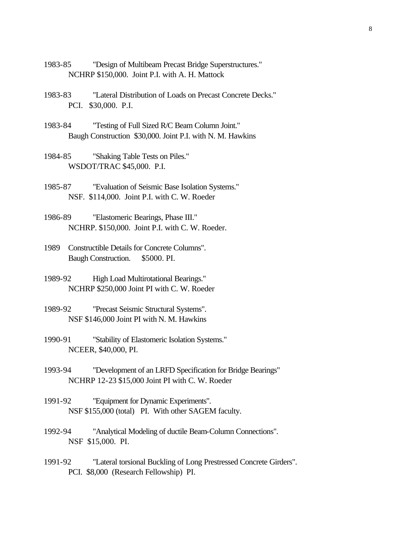- 1983-85 "Design of Multibeam Precast Bridge Superstructures." NCHRP \$150,000. Joint P.I. with A. H. Mattock
- 1983-83 "Lateral Distribution of Loads on Precast Concrete Decks." PCI. \$30,000. P.I.
- 1983-84 "Testing of Full Sized R/C Beam Column Joint." Baugh Construction \$30,000. Joint P.I. with N. M. Hawkins
- 1984-85 "Shaking Table Tests on Piles." WSDOT/TRAC \$45,000. P.I.
- 1985-87 "Evaluation of Seismic Base Isolation Systems." NSF. \$114,000. Joint P.I. with C. W. Roeder
- 1986-89 "Elastomeric Bearings, Phase III." NCHRP. \$150,000. Joint P.I. with C. W. Roeder.
- 1989 Constructible Details for Concrete Columns". Baugh Construction. \$5000. PI.
- 1989-92 High Load Multirotational Bearings." NCHRP \$250,000 Joint PI with C. W. Roeder
- 1989-92 "Precast Seismic Structural Systems". NSF \$146,000 Joint PI with N. M. Hawkins
- 1990-91 "Stability of Elastomeric Isolation Systems." NCEER, \$40,000, PI.
- 1993-94 "Development of an LRFD Specification for Bridge Bearings" NCHRP 12-23 \$15,000 Joint PI with C. W. Roeder
- 1991-92 "Equipment for Dynamic Experiments". NSF \$155,000 (total) PI. With other SAGEM faculty.
- 1992-94 "Analytical Modeling of ductile Beam-Column Connections". NSF \$15,000. PI.
- 1991-92 "Lateral torsional Buckling of Long Prestressed Concrete Girders". PCI. \$8,000 (Research Fellowship) PI.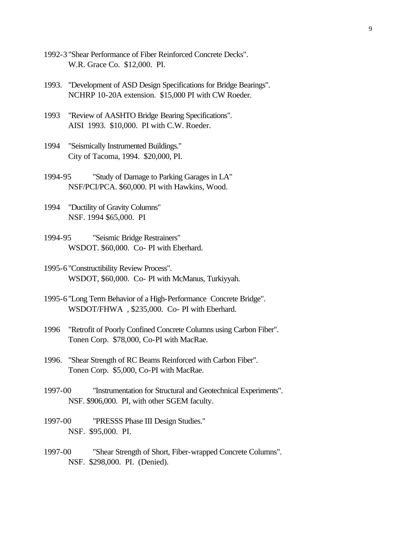- 1992-3"Shear Performance of Fiber Reinforced Concrete Decks". W.R. Grace Co. \$12,000. PI.
- 1993. "Development of ASD Design Specifications for Bridge Bearings". NCHRP 10-20A extension. \$15,000 PI with CW Roeder.
- 1993 "Review of AASHTO Bridge Bearing Specifications". AISI 1993. \$10,000. PI with C.W. Roeder.
- 1994 "Seismically Instrumented Buildings." City of Tacoma, 1994. \$20,000, PI.
- 1994-95 "Study of Damage to Parking Garages in LA" NSF/PCI/PCA. \$60,000. PI with Hawkins, Wood.
- 1994 "Ductility of Gravity Columns" NSF. 1994 \$65,000. PI
- 1994-95 "Seismic Bridge Restrainers" WSDOT. \$60,000. Co- PI with Eberhard.
- 1995-6"Constructibility Review Process". WSDOT, \$60,000. Co- PI with McManus, Turkiyyah.
- 1995-6"Long Term Behavior of a High-Performance Concrete Bridge". WSDOT/FHWA , \$235,000. Co- PI with Eberhard.
- 1996 "Retrofit of Poorly Confined Concrete Columns using Carbon Fiber". Tonen Corp. \$78,000, Co-PI with MacRae.
- 1996. "Shear Strength of RC Beams Reinforced with Carbon Fiber". Tonen Corp. \$5,000, Co-PI with MacRae.
- 1997-00 "Instrumentation for Structural and Geotechnical Experiments". NSF. \$906,000. PI, with other SGEM faculty.
- 1997-00 "PRESSS Phase III Design Studies." NSF. \$95,000. PI.
- 1997-00 "Shear Strength of Short, Fiber-wrapped Concrete Columns". NSF. \$298,000. PI. (Denied).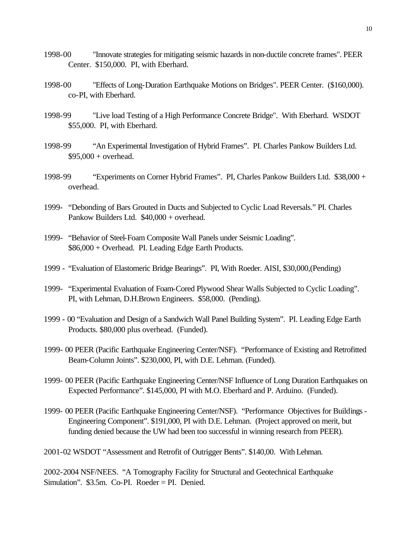- 1998-00 "Innovate strategies for mitigating seismic hazards in non-ductile concrete frames". PEER Center. \$150,000. PI, with Eberhard.
- 1998-00 "Effects of Long-Duration Earthquake Motions on Bridges". PEER Center. (\$160,000). co-PI, with Eberhard.
- 1998-99 "Live load Testing of a High Performance Concrete Bridge". With Eberhard. WSDOT \$55,000. PI, with Eberhard.
- 1998-99 "An Experimental Investigation of Hybrid Frames". PI. Charles Pankow Builders Ltd. \$95,000 + overhead.
- 1998-99 "Experiments on Corner Hybrid Frames". PI, Charles Pankow Builders Ltd. \$38,000 + overhead.
- 1999- "Debonding of Bars Grouted in Ducts and Subjected to Cyclic Load Reversals." PI. Charles Pankow Builders Ltd. \$40,000 + overhead.
- 1999- "Behavior of Steel-Foam Composite Wall Panels under Seismic Loading". \$86,000 + Overhead. PI. Leading Edge Earth Products.
- 1999 "Evaluation of Elastomeric Bridge Bearings". PI, With Roeder. AISI, \$30,000,(Pending)
- 1999- "Experimental Evaluation of Foam-Cored Plywood Shear Walls Subjected to Cyclic Loading". PI, with Lehman, D.H.Brown Engineers. \$58,000. (Pending).
- 1999 00 "Evaluation and Design of a Sandwich Wall Panel Building System". PI. Leading Edge Earth Products. \$80,000 plus overhead. (Funded).
- 1999- 00 PEER (Pacific Earthquake Engineering Center/NSF). "Performance of Existing and Retrofitted Beam-Column Joints". \$230,000, PI, with D.E. Lehman. (Funded).
- 1999- 00 PEER (Pacific Earthquake Engineering Center/NSF Influence of Long Duration Earthquakes on Expected Performance". \$145,000, PI with M.O. Eberhard and P. Arduino. (Funded).
- 1999- 00 PEER (Pacific Earthquake Engineering Center/NSF). "Performance Objectives for Buildings Engineering Component". \$191,000, PI with D.E. Lehman. (Project approved on merit, but funding denied because the UW had been too successful in winning research from PEER).
- 2001-02 WSDOT "Assessment and Retrofit of Outrigger Bents". \$140,00. With Lehman.

2002-2004 NSF/NEES. "A Tomography Facility for Structural and Geotechnical Earthquake Simulation". \$3.5m. Co-PI. Roeder = PI. Denied.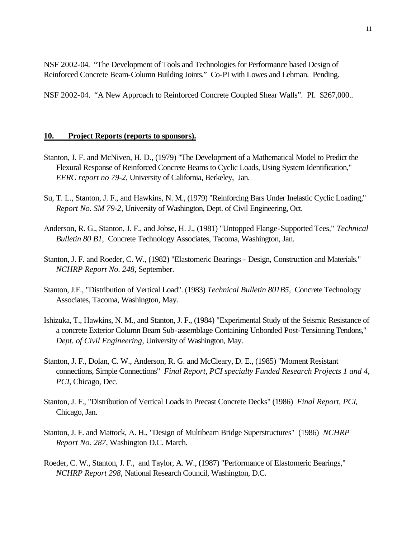NSF 2002-04. "The Development of Tools and Technologies for Performance based Design of Reinforced Concrete Beam-Column Building Joints." Co-PI with Lowes and Lehman. Pending.

NSF 2002-04. "A New Approach to Reinforced Concrete Coupled Shear Walls". PI. \$267,000..

### **10. Project Reports (reports to sponsors).**

- Stanton, J. F. and McNiven, H. D., (1979) "The Development of a Mathematical Model to Predict the Flexural Response of Reinforced Concrete Beams to Cyclic Loads, Using System Identification," *EERC report no 79-2*, University of California, Berkeley, Jan.
- Su, T. L., Stanton, J. F., and Hawkins, N. M., (1979) "Reinforcing Bars Under Inelastic Cyclic Loading," *Report No. SM 79-2*, University of Washington, Dept. of Civil Engineering, Oct.
- Anderson, R. G., Stanton, J. F., and Jobse, H. J., (1981) "Untopped Flange-Supported Tees," *Technical Bulletin 80 B1,* Concrete Technology Associates, Tacoma, Washington, Jan.
- Stanton, J. F. and Roeder, C. W., (1982) "Elastomeric Bearings Design, Construction and Materials." *NCHRP Report No. 248*, September.
- Stanton, J.F., "Distribution of Vertical Load". (1983) *Technical Bulletin 801B5,* Concrete Technology Associates, Tacoma, Washington, May.
- Ishizuka, T., Hawkins, N. M., and Stanton, J. F., (1984) "Experimental Study of the Seismic Resistance of a concrete Exterior Column Beam Sub-assemblage Containing Unbonded Post-Tensioning Tendons," *Dept. of Civil Engineering*, University of Washington, May.
- Stanton, J. F., Dolan, C. W., Anderson, R. G. and McCleary, D. E., (1985) "Moment Resistant connections, Simple Connections" *Final Report, PCI specialty Funded Research Projects 1 and 4, PCI*, Chicago, Dec.
- Stanton, J. F., "Distribution of Vertical Loads in Precast Concrete Decks" (1986) *Final Report, PCI*, Chicago, Jan.
- Stanton, J. F. and Mattock, A. H., "Design of Multibeam Bridge Superstructures" (1986) *NCHRP Report No. 287*, Washington D.C. March.
- Roeder, C. W., Stanton, J. F., and Taylor, A. W., (1987) "Performance of Elastomeric Bearings," *NCHRP Report 298,* National Research Council, Washington, D.C.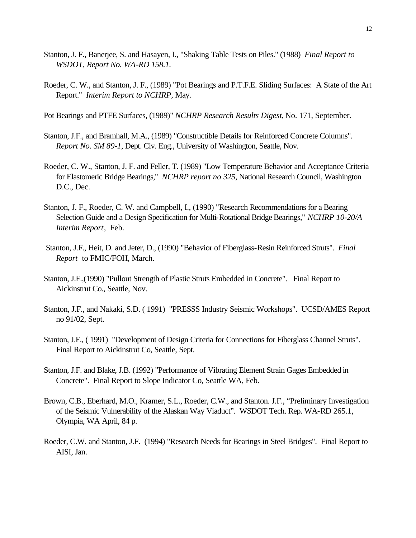- Stanton, J. F., Banerjee, S. and Hasayen, I., "Shaking Table Tests on Piles." (1988) *Final Report to WSDOT, Report No. WA-RD 158.1.*
- Roeder, C. W., and Stanton, J. F., (1989) "Pot Bearings and P.T.F.E. Sliding Surfaces: A State of the Art Report." *Interim Report to NCHRP,* May.

Pot Bearings and PTFE Surfaces, (1989)" *NCHRP Research Results Digest,* No. 171, September.

- Stanton, J.F., and Bramhall, M.A., (1989) "Constructible Details for Reinforced Concrete Columns". *Report No. SM 89-1*, Dept. Civ. Eng., University of Washington, Seattle, Nov.
- Roeder, C. W., Stanton, J. F. and Feller, T. (1989) "Low Temperature Behavior and Acceptance Criteria for Elastomeric Bridge Bearings," *NCHRP report no 325*, National Research Council, Washington D.C., Dec.
- Stanton, J. F., Roeder, C. W. and Campbell, I., (1990) "Research Recommendations for a Bearing Selection Guide and a Design Specification for Multi-Rotational Bridge Bearings," *NCHRP 10-20/A Interim Report*, Feb.
- Stanton, J.F., Heit, D. and Jeter, D., (1990) "Behavior of Fiberglass-Resin Reinforced Struts". *Final Report* to FMIC/FOH, March.
- Stanton, J.F.,(1990) "Pullout Strength of Plastic Struts Embedded in Concrete". Final Report to Aickinstrut Co., Seattle, Nov.
- Stanton, J.F., and Nakaki, S.D. ( 1991) "PRESSS Industry Seismic Workshops". UCSD/AMES Report no 91/02, Sept.
- Stanton, J.F., ( 1991) "Development of Design Criteria for Connections for Fiberglass Channel Struts". Final Report to Aickinstrut Co, Seattle, Sept.
- Stanton, J.F. and Blake, J.B. (1992) "Performance of Vibrating Element Strain Gages Embedded in Concrete". Final Report to Slope Indicator Co, Seattle WA, Feb.
- Brown, C.B., Eberhard, M.O., Kramer, S.L., Roeder, C.W., and Stanton. J.F., "Preliminary Investigation of the Seismic Vulnerability of the Alaskan Way Viaduct". WSDOT Tech. Rep. WA-RD 265.1, Olympia, WA April, 84 p.
- Roeder, C.W. and Stanton, J.F. (1994) "Research Needs for Bearings in Steel Bridges". Final Report to AISI, Jan.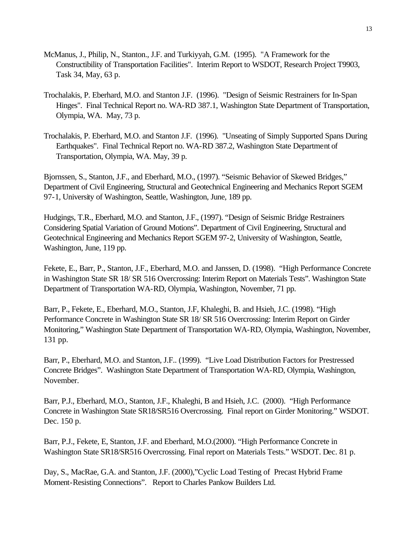- McManus, J., Philip, N., Stanton., J.F. and Turkiyyah, G.M. (1995). "A Framework for the Constructibility of Transportation Facilities". Interim Report to WSDOT, Research Project T9903, Task 34, May, 63 p.
- Trochalakis, P. Eberhard, M.O. and Stanton J.F. (1996). "Design of Seismic Restrainers for In-Span Hinges". Final Technical Report no. WA-RD 387.1, Washington State Department of Transportation, Olympia, WA. May, 73 p.
- Trochalakis, P. Eberhard, M.O. and Stanton J.F. (1996). "Unseating of Simply Supported Spans During Earthquakes". Final Technical Report no. WA-RD 387.2, Washington State Department of Transportation, Olympia, WA. May, 39 p.

Bjornssen, S., Stanton, J.F., and Eberhard, M.O., (1997). "Seismic Behavior of Skewed Bridges," Department of Civil Engineering, Structural and Geotechnical Engineering and Mechanics Report SGEM 97-1, University of Washington, Seattle, Washington, June, 189 pp.

Hudgings, T.R., Eberhard, M.O. and Stanton, J.F., (1997). "Design of Seismic Bridge Restrainers Considering Spatial Variation of Ground Motions". Department of Civil Engineering, Structural and Geotechnical Engineering and Mechanics Report SGEM 97-2, University of Washington, Seattle, Washington, June, 119 pp.

Fekete, E., Barr, P., Stanton, J.F., Eberhard, M.O. and Janssen, D. (1998). "High Performance Concrete in Washington State SR 18/ SR 516 Overcrossing: Interim Report on Materials Tests". Washington State Department of Transportation WA-RD, Olympia, Washington, November, 71 pp.

Barr, P., Fekete, E., Eberhard, M.O., Stanton, J.F, Khaleghi, B. and Hsieh, J.C. (1998). "High Performance Concrete in Washington State SR 18/ SR 516 Overcrossing: Interim Report on Girder Monitoring," Washington State Department of Transportation WA-RD, Olympia, Washington, November, 131 pp.

Barr, P., Eberhard, M.O. and Stanton, J.F.. (1999). "Live Load Distribution Factors for Prestressed Concrete Bridges". Washington State Department of Transportation WA-RD, Olympia, Washington, November.

Barr, P.J., Eberhard, M.O., Stanton, J.F., Khaleghi, B and Hsieh, J.C. (2000). "High Performance Concrete in Washington State SR18/SR516 Overcrossing. Final report on Girder Monitoring." WSDOT. Dec. 150 p.

Barr, P.J., Fekete, E, Stanton, J.F. and Eberhard, M.O.(2000). "High Performance Concrete in Washington State SR18/SR516 Overcrossing. Final report on Materials Tests." WSDOT. Dec. 81 p.

Day, S., MacRae, G.A. and Stanton, J.F. (2000),"Cyclic Load Testing of Precast Hybrid Frame Moment-Resisting Connections". Report to Charles Pankow Builders Ltd.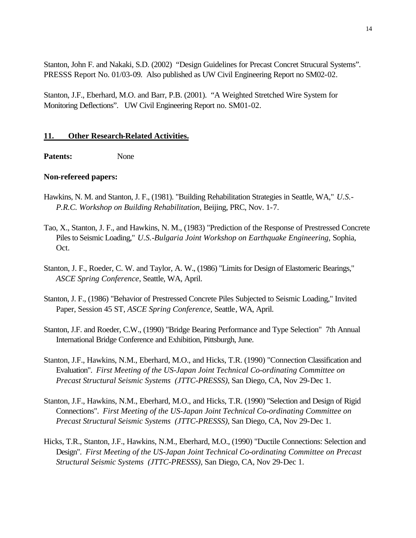Stanton, John F. and Nakaki, S.D. (2002) "Design Guidelines for Precast Concret Strucural Systems". PRESSS Report No. 01/03-09. Also published as UW Civil Engineering Report no SM02-02.

Stanton, J.F., Eberhard, M.O. and Barr, P.B. (2001). "A Weighted Stretched Wire System for Monitoring Deflections". UW Civil Engineering Report no. SM01-02.

### **11. Other Research-Related Activities.**

Patents: None

### **Non-refereed papers:**

- Hawkins, N. M. and Stanton, J. F., (1981). "Building Rehabilitation Strategies in Seattle, WA," *U.S.- P.R.C. Workshop on Building Rehabilitation*, Beijing, PRC, Nov. 1-7.
- Tao, X., Stanton, J. F., and Hawkins, N. M., (1983) "Prediction of the Response of Prestressed Concrete Piles to Seismic Loading," *U.S.-Bulgaria Joint Workshop on Earthquake Engineering,* Sophia, Oct.
- Stanton, J. F., Roeder, C. W. and Taylor, A. W., (1986) "Limits for Design of Elastomeric Bearings," *ASCE Spring Conference*, Seattle, WA, April.
- Stanton, J. F., (1986) "Behavior of Prestressed Concrete Piles Subjected to Seismic Loading," Invited Paper, Session 45 ST, *ASCE Spring Conference,* Seattle, WA, April.
- Stanton, J.F. and Roeder, C.W., (1990) "Bridge Bearing Performance and Type Selection" 7th Annual International Bridge Conference and Exhibition, Pittsburgh, June.
- Stanton, J.F., Hawkins, N.M., Eberhard, M.O., and Hicks, T.R. (1990) "Connection Classification and Evaluation". *First Meeting of the US-Japan Joint Technical Co-ordinating Committee on Precast Structural Seismic Systems (JTTC-PRESSS)*, San Diego, CA, Nov 29-Dec 1.
- Stanton, J.F., Hawkins, N.M., Eberhard, M.O., and Hicks, T.R. (1990) "Selection and Design of Rigid Connections". *First Meeting of the US-Japan Joint Technical Co-ordinating Committee on Precast Structural Seismic Systems (JTTC-PRESSS)*, San Diego, CA, Nov 29-Dec 1.
- Hicks, T.R., Stanton, J.F., Hawkins, N.M., Eberhard, M.O., (1990) "Ductile Connections: Selection and Design". *First Meeting of the US-Japan Joint Technical Co-ordinating Committee on Precast Structural Seismic Systems (JTTC-PRESSS)*, San Diego, CA, Nov 29-Dec 1.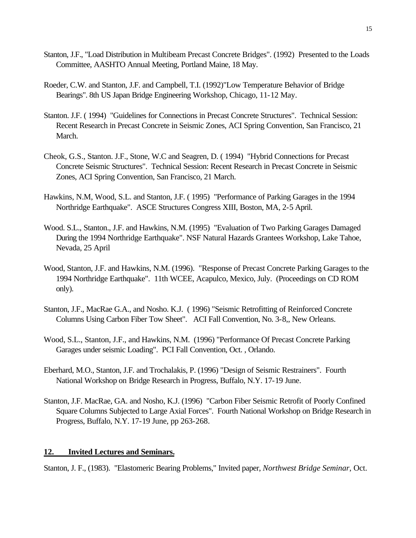- Stanton, J.F., "Load Distribution in Multibeam Precast Concrete Bridges". (1992) Presented to the Loads Committee, AASHTO Annual Meeting, Portland Maine, 18 May.
- Roeder, C.W. and Stanton, J.F. and Campbell, T.I. (1992)"Low Temperature Behavior of Bridge Bearings". 8th US Japan Bridge Engineering Workshop, Chicago, 11-12 May.
- Stanton. J.F. ( 1994) "Guidelines for Connections in Precast Concrete Structures". Technical Session: Recent Research in Precast Concrete in Seismic Zones, ACI Spring Convention, San Francisco, 21 March.
- Cheok, G.S., Stanton. J.F., Stone, W.C and Seagren, D. ( 1994) "Hybrid Connections for Precast Concrete Seismic Structures". Technical Session: Recent Research in Precast Concrete in Seismic Zones, ACI Spring Convention, San Francisco, 21 March.
- Hawkins, N.M, Wood, S.L. and Stanton, J.F. ( 1995) "Performance of Parking Garages in the 1994 Northridge Earthquake". ASCE Structures Congress XIII, Boston, MA, 2-5 April.
- Wood. S.L., Stanton., J.F. and Hawkins, N.M. (1995) "Evaluation of Two Parking Garages Damaged During the 1994 Northridge Earthquake". NSF Natural Hazards Grantees Workshop, Lake Tahoe, Nevada, 25 April
- Wood, Stanton, J.F. and Hawkins, N.M. (1996). "Response of Precast Concrete Parking Garages to the 1994 Northridge Earthquake". 11th WCEE, Acapulco, Mexico, July. (Proceedings on CD ROM only).
- Stanton, J.F., MacRae G.A., and Nosho. K.J. ( 1996) "Seismic Retrofitting of Reinforced Concrete Columns Using Carbon Fiber Tow Sheet". ACI Fall Convention, No. 3-8,, New Orleans.
- Wood, S.L., Stanton, J.F., and Hawkins, N.M. (1996) "Performance Of Precast Concrete Parking Garages under seismic Loading". PCI Fall Convention, Oct. , Orlando.
- Eberhard, M.O., Stanton, J.F. and Trochalakis, P. (1996) "Design of Seismic Restrainers". Fourth National Workshop on Bridge Research in Progress, Buffalo, N.Y. 17-19 June.
- Stanton, J.F. MacRae, GA. and Nosho, K.J. (1996) "Carbon Fiber Seismic Retrofit of Poorly Confined Square Columns Subjected to Large Axial Forces". Fourth National Workshop on Bridge Research in Progress, Buffalo, N.Y. 17-19 June, pp 263-268.

### **12. Invited Lectures and Seminars.**

Stanton, J. F., (1983). "Elastomeric Bearing Problems," Invited paper, *Northwest Bridge Seminar*, Oct.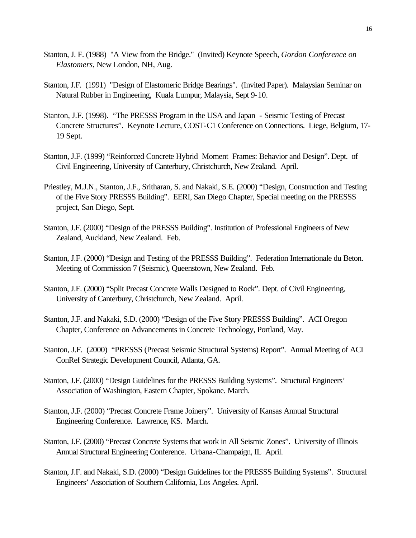- Stanton, J. F. (1988) "A View from the Bridge." (Invited) Keynote Speech, *Gordon Conference on Elastomers*, New London, NH, Aug.
- Stanton, J.F. (1991) "Design of Elastomeric Bridge Bearings". (Invited Paper). Malaysian Seminar on Natural Rubber in Engineering, Kuala Lumpur, Malaysia, Sept 9-10.
- Stanton, J.F. (1998). "The PRESSS Program in the USA and Japan Seismic Testing of Precast Concrete Structures". Keynote Lecture, COST-C1 Conference on Connections. Liege, Belgium, 17- 19 Sept.
- Stanton, J.F. (1999) "Reinforced Concrete Hybrid Moment Frames: Behavior and Design". Dept. of Civil Engineering, University of Canterbury, Christchurch, New Zealand. April.
- Priestley, M.J.N., Stanton, J.F., Sritharan, S. and Nakaki, S.E. (2000) "Design, Construction and Testing of the Five Story PRESSS Building". EERI, San Diego Chapter, Special meeting on the PRESSS project, San Diego, Sept.
- Stanton, J.F. (2000) "Design of the PRESSS Building". Institution of Professional Engineers of New Zealand, Auckland, New Zealand. Feb.
- Stanton, J.F. (2000) "Design and Testing of the PRESSS Building". Federation Internationale du Beton. Meeting of Commission 7 (Seismic), Queenstown, New Zealand. Feb.
- Stanton, J.F. (2000) "Split Precast Concrete Walls Designed to Rock". Dept. of Civil Engineering, University of Canterbury, Christchurch, New Zealand. April.
- Stanton, J.F. and Nakaki, S.D. (2000) "Design of the Five Story PRESSS Building". ACI Oregon Chapter, Conference on Advancements in Concrete Technology, Portland, May.
- Stanton, J.F. (2000) "PRESSS (Precast Seismic Structural Systems) Report". Annual Meeting of ACI ConRef Strategic Development Council, Atlanta, GA.
- Stanton, J.F. (2000) "Design Guidelines for the PRESSS Building Systems". Structural Engineers' Association of Washington, Eastern Chapter, Spokane. March.
- Stanton, J.F. (2000) "Precast Concrete Frame Joinery". University of Kansas Annual Structural Engineering Conference. Lawrence, KS. March.
- Stanton, J.F. (2000) "Precast Concrete Systems that work in All Seismic Zones". University of Illinois Annual Structural Engineering Conference. Urbana-Champaign, IL April.
- Stanton, J.F. and Nakaki, S.D. (2000) "Design Guidelines for the PRESSS Building Systems". Structural Engineers' Association of Southern California, Los Angeles. April.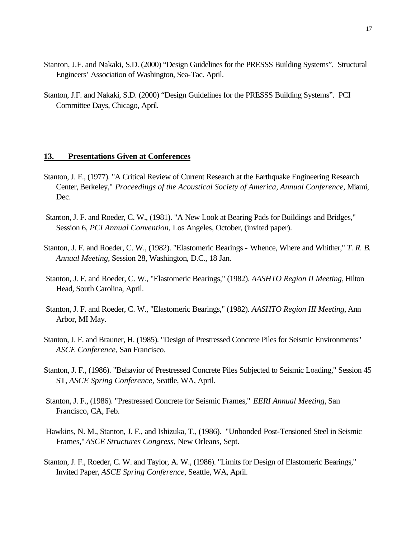- Stanton, J.F. and Nakaki, S.D. (2000) "Design Guidelines for the PRESSS Building Systems". Structural Engineers' Association of Washington, Sea-Tac. April.
- Stanton, J.F. and Nakaki, S.D. (2000) "Design Guidelines for the PRESSS Building Systems". PCI Committee Days, Chicago, April.

#### **13. Presentations Given at Conferences**

- Stanton, J. F., (1977). "A Critical Review of Current Research at the Earthquake Engineering Research Center, Berkeley," *Proceedings of the Acoustical Society of America, Annual Conference*, Miami, Dec.
- Stanton, J. F. and Roeder, C. W., (1981). "A New Look at Bearing Pads for Buildings and Bridges," Session 6, *PCI Annual Convention,* Los Angeles, October, (invited paper).
- Stanton, J. F. and Roeder, C. W., (1982). "Elastomeric Bearings Whence, Where and Whither," *T. R. B. Annual Meeting*, Session 28, Washington, D.C., 18 Jan.
- Stanton, J. F. and Roeder, C. W., "Elastomeric Bearings," (1982). *AASHTO Region II Meeting*, Hilton Head, South Carolina, April.
- Stanton, J. F. and Roeder, C. W., "Elastomeric Bearings," (1982). *AASHTO Region III Meeting*, Ann Arbor, MI May.
- Stanton, J. F. and Brauner, H. (1985). "Design of Prestressed Concrete Piles for Seismic Environments" *ASCE Conference*, San Francisco.
- Stanton, J. F., (1986). "Behavior of Prestressed Concrete Piles Subjected to Seismic Loading," Session 45 ST, *ASCE Spring Conference,* Seattle, WA, April.
- Stanton, J. F., (1986). "Prestressed Concrete for Seismic Frames," *EERI Annual Meeting*, San Francisco, CA, Feb.
- Hawkins, N. M., Stanton, J. F., and Ishizuka, T., (1986). "Unbonded Post-Tensioned Steel in Seismic Frames," *ASCE Structures Congress,* New Orleans, Sept.
- Stanton, J. F., Roeder, C. W. and Taylor, A. W., (1986). "Limits for Design of Elastomeric Bearings," Invited Paper, *ASCE Spring Conference*, Seattle, WA, April.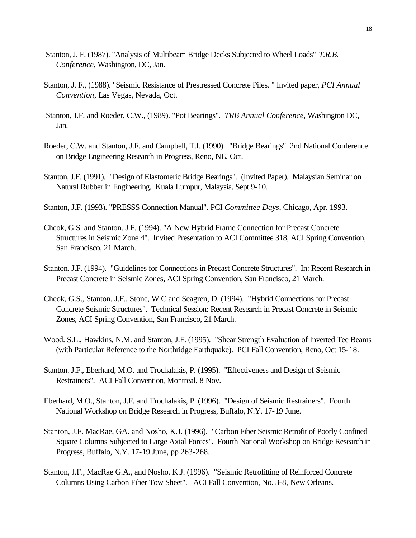- Stanton, J. F. (1987). "Analysis of Multibeam Bridge Decks Subjected to Wheel Loads" *T.R.B. Conference*, Washington, DC, Jan.
- Stanton, J. F., (1988). "Seismic Resistance of Prestressed Concrete Piles. " Invited paper, *PCI Annual Convention*, Las Vegas, Nevada, Oct.
- Stanton, J.F. and Roeder, C.W., (1989). "Pot Bearings". *TRB Annual Conference*, Washington DC, Jan.
- Roeder, C.W. and Stanton, J.F. and Campbell, T.I. (1990). "Bridge Bearings". 2nd National Conference on Bridge Engineering Research in Progress, Reno, NE, Oct.
- Stanton, J.F. (1991). "Design of Elastomeric Bridge Bearings". (Invited Paper). Malaysian Seminar on Natural Rubber in Engineering, Kuala Lumpur, Malaysia, Sept 9-10.
- Stanton, J.F. (1993). "PRESSS Connection Manual". PCI *Committee Days*, Chicago, Apr. 1993.
- Cheok, G.S. and Stanton. J.F. (1994). "A New Hybrid Frame Connection for Precast Concrete Structures in Seismic Zone 4". Invited Presentation to ACI Committee 318, ACI Spring Convention, San Francisco, 21 March.
- Stanton. J.F. (1994). "Guidelines for Connections in Precast Concrete Structures". In: Recent Research in Precast Concrete in Seismic Zones, ACI Spring Convention, San Francisco, 21 March.
- Cheok, G.S., Stanton. J.F., Stone, W.C and Seagren, D. (1994). "Hybrid Connections for Precast Concrete Seismic Structures". Technical Session: Recent Research in Precast Concrete in Seismic Zones, ACI Spring Convention, San Francisco, 21 March.
- Wood. S.L., Hawkins, N.M. and Stanton, J.F. (1995). "Shear Strength Evaluation of Inverted Tee Beams (with Particular Reference to the Northridge Earthquake). PCI Fall Convention, Reno, Oct 15-18.
- Stanton. J.F., Eberhard, M.O. and Trochalakis, P. (1995). "Effectiveness and Design of Seismic Restrainers". ACI Fall Convention, Montreal, 8 Nov.
- Eberhard, M.O., Stanton, J.F. and Trochalakis, P. (1996). "Design of Seismic Restrainers". Fourth National Workshop on Bridge Research in Progress, Buffalo, N.Y. 17-19 June.
- Stanton, J.F. MacRae, GA. and Nosho, K.J. (1996). "Carbon Fiber Seismic Retrofit of Poorly Confined Square Columns Subjected to Large Axial Forces". Fourth National Workshop on Bridge Research in Progress, Buffalo, N.Y. 17-19 June, pp 263-268.
- Stanton, J.F., MacRae G.A., and Nosho. K.J. (1996). "Seismic Retrofitting of Reinforced Concrete Columns Using Carbon Fiber Tow Sheet". ACI Fall Convention, No. 3-8, New Orleans.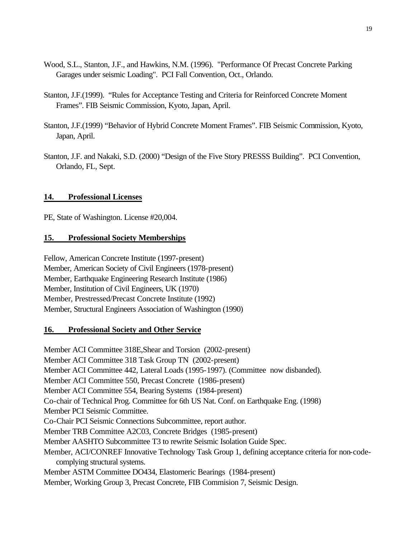- Wood, S.L., Stanton, J.F., and Hawkins, N.M. (1996). "Performance Of Precast Concrete Parking Garages under seismic Loading". PCI Fall Convention, Oct., Orlando.
- Stanton, J.F.(1999). "Rules for Acceptance Testing and Criteria for Reinforced Concrete Moment Frames". FIB Seismic Commission, Kyoto, Japan, April.
- Stanton, J.F.(1999) "Behavior of Hybrid Concrete Moment Frames". FIB Seismic Commission, Kyoto, Japan, April.
- Stanton, J.F. and Nakaki, S.D. (2000) "Design of the Five Story PRESSS Building". PCI Convention, Orlando, FL, Sept.

### **14. Professional Licenses**

PE, State of Washington. License #20,004.

### **15. Professional Society Memberships**

Fellow, American Concrete Institute (1997-present) Member, American Society of Civil Engineers (1978-present) Member, Earthquake Engineering Research Institute (1986) Member, Institution of Civil Engineers, UK (1970) Member, Prestressed/Precast Concrete Institute (1992) Member, Structural Engineers Association of Washington (1990)

### **16. Professional Society and Other Service**

Member ACI Committee 318E,Shear and Torsion (2002-present) Member ACI Committee 318 Task Group TN (2002-present) Member ACI Committee 442, Lateral Loads (1995-1997). (Committee now disbanded). Member ACI Committee 550, Precast Concrete (1986-present) Member ACI Committee 554, Bearing Systems (1984-present) Co-chair of Technical Prog. Committee for 6th US Nat. Conf. on Earthquake Eng. (1998) Member PCI Seismic Committee. Co-Chair PCI Seismic Connections Subcommittee, report author. Member TRB Committee A2C03, Concrete Bridges (1985-present) Member AASHTO Subcommittee T3 to rewrite Seismic Isolation Guide Spec. Member, ACI/CONREF Innovative Technology Task Group 1, defining acceptance criteria for non-codecomplying structural systems. Member ASTM Committee DO434, Elastomeric Bearings (1984-present) Member, Working Group 3, Precast Concrete, FIB Commision 7, Seismic Design.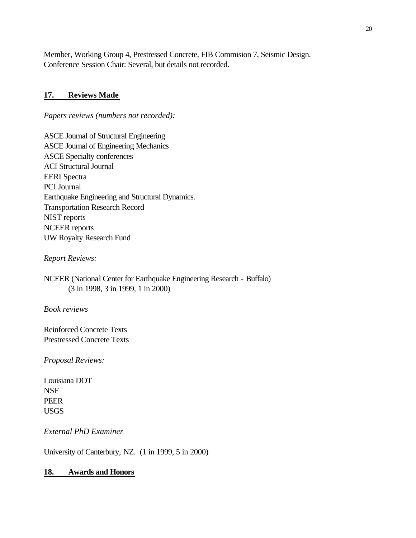Member, Working Group 4, Prestressed Concrete, FIB Commision 7, Seismic Design. Conference Session Chair: Several, but details not recorded.

### **17. Reviews Made**

*Papers reviews (numbers not recorded):*

ASCE Journal of Structural Engineering ASCE Journal of Engineering Mechanics ASCE Specialty conferences ACI Structural Journal EERI Spectra PCI Journal Earthquake Engineering and Structural Dynamics. Transportation Research Record NIST reports NCEER reports UW Royalty Research Fund

*Report Reviews:*

NCEER (National Center for Earthquake Engineering Research - Buffalo) (3 in 1998, 3 in 1999, 1 in 2000)

*Book reviews*

Reinforced Concrete Texts Prestressed Concrete Texts

*Proposal Reviews:*

Louisiana DOT NSF PEER USGS

*External PhD Examiner*

University of Canterbury, NZ. (1 in 1999, 5 in 2000)

### **18. Awards and Honors**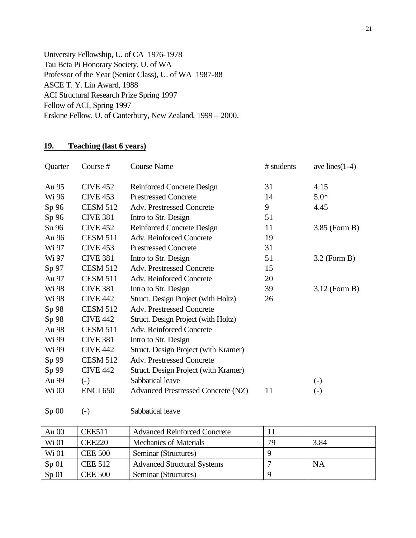University Fellowship, U. of CA 1976-1978 Tau Beta Pi Honorary Society, U. of WA Professor of the Year (Senior Class), U. of WA 1987-88 ASCE T. Y. Lin Award, 1988 ACI Structural Research Prize Spring 1997 Fellow of ACI, Spring 1997 Erskine Fellow, U. of Canterbury, New Zealand, 1999 – 2000.

# **19. Teaching (last 6 years)**

| Quarter | Course #        | <b>Course Name</b>                   | # students | ave lines $(1-4)$ |
|---------|-----------------|--------------------------------------|------------|-------------------|
| Au 95   | <b>CIVE 452</b> | Reinforced Concrete Design           | 31         | 4.15              |
| Wi 96   | <b>CIVE 453</b> | <b>Prestressed Concrete</b>          | 14         | $5.0*$            |
| Sp 96   | <b>CESM 512</b> | <b>Adv. Prestressed Concrete</b>     | 9          | 4.45              |
| Sp 96   | <b>CIVE 381</b> | Intro to Str. Design                 | 51         |                   |
| Su 96   | <b>CIVE 452</b> | <b>Reinforced Concrete Design</b>    | 11         | $3.85$ (Form B)   |
| Au 96   | <b>CESM 511</b> | Adv. Reinforced Concrete             | 19         |                   |
| Wi 97   | <b>CIVE 453</b> | <b>Prestressed Concrete</b>          | 31         |                   |
| Wi 97   | <b>CIVE 381</b> | Intro to Str. Design                 | 51         | $3.2$ (Form B)    |
| Sp 97   | <b>CESM 512</b> | <b>Adv. Prestressed Concrete</b>     | 15         |                   |
| Au 97   | <b>CESM 511</b> | Adv. Reinforced Concrete             | 20         |                   |
| Wi 98   | <b>CIVE 381</b> | Intro to Str. Design                 | 39         | $3.12$ (Form B)   |
| Wi 98   | <b>CIVE 442</b> | Struct. Design Project (with Holtz)  | 26         |                   |
| Sp 98   | <b>CESM 512</b> | <b>Adv. Prestressed Concrete</b>     |            |                   |
| Sp 98   | <b>CIVE 442</b> | Struct. Design Project (with Holtz)  |            |                   |
| Au 98   | <b>CESM 511</b> | Adv. Reinforced Concrete             |            |                   |
| Wi 99   | <b>CIVE 381</b> | Intro to Str. Design                 |            |                   |
| Wi 99   | <b>CIVE 442</b> | Struct. Design Project (with Kramer) |            |                   |
| Sp 99   | <b>CESM 512</b> | <b>Adv. Prestressed Concrete</b>     |            |                   |
| Sp 99   | <b>CIVE 442</b> | Struct. Design Project (with Kramer) |            |                   |
| Au 99   | $(-)$           | Sabbatical leave                     |            | $\left( -\right)$ |
| Wi 00   | <b>ENCI 650</b> | Advanced Prestressed Concrete (NZ)   | 11         | $\left( -\right)$ |
|         |                 |                                      |            |                   |

Sp 00 (-) Sabbatical leave

| Au $00$          | <b>CEE511</b>  | <b>Advanced Reinforced Concrete</b> |     |      |
|------------------|----------------|-------------------------------------|-----|------|
| Wi 01            | <b>CEE220</b>  | <b>Mechanics of Materials</b>       | 79. | 3.84 |
| Wi 01            | <b>CEE 500</b> | Seminar (Structures)                |     |      |
| Sp <sub>01</sub> | <b>CEE 512</b> | <b>Advanced Structural Systems</b>  |     | NA   |
| Sp <sub>01</sub> | <b>CEE 500</b> | Seminar (Structures)                |     |      |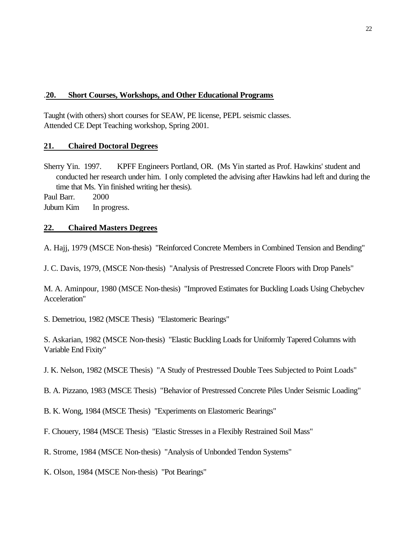## .**20. Short Courses, Workshops, and Other Educational Programs**

Taught (with others) short courses for SEAW, PE license, PEPL seismic classes. Attended CE Dept Teaching workshop, Spring 2001.

## **21. Chaired Doctoral Degrees**

Sherry Yin. 1997. KPFF Engineers Portland, OR. (Ms Yin started as Prof. Hawkins' student and conducted her research under him. I only completed the advising after Hawkins had left and during the time that Ms. Yin finished writing her thesis).

Paul Barr. 2000

Jubum Kim In progress.

### **22. Chaired Masters Degrees**

A. Hajj, 1979 (MSCE Non-thesis) "Reinforced Concrete Members in Combined Tension and Bending"

J. C. Davis, 1979, (MSCE Non-thesis) "Analysis of Prestressed Concrete Floors with Drop Panels"

M. A. Aminpour, 1980 (MSCE Non-thesis) "Improved Estimates for Buckling Loads Using Chebychev Acceleration"

S. Demetriou, 1982 (MSCE Thesis) "Elastomeric Bearings"

S. Askarian, 1982 (MSCE Non-thesis) "Elastic Buckling Loads for Uniformly Tapered Columns with Variable End Fixity"

J. K. Nelson, 1982 (MSCE Thesis) "A Study of Prestressed Double Tees Subjected to Point Loads"

B. A. Pizzano, 1983 (MSCE Thesis) "Behavior of Prestressed Concrete Piles Under Seismic Loading"

B. K. Wong, 1984 (MSCE Thesis) "Experiments on Elastomeric Bearings"

F. Chouery, 1984 (MSCE Thesis) "Elastic Stresses in a Flexibly Restrained Soil Mass"

R. Strome, 1984 (MSCE Non-thesis) "Analysis of Unbonded Tendon Systems"

K. Olson, 1984 (MSCE Non-thesis) "Pot Bearings"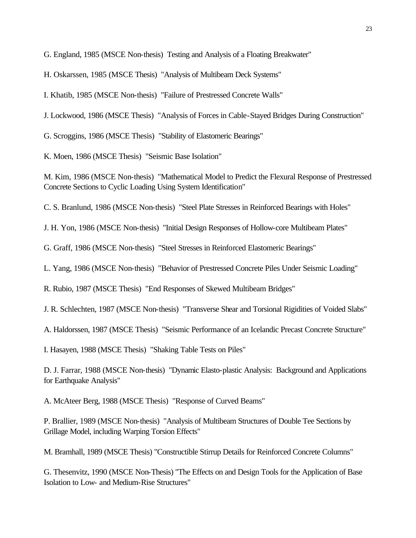G. England, 1985 (MSCE Non-thesis) Testing and Analysis of a Floating Breakwater"

H. Oskarssen, 1985 (MSCE Thesis) "Analysis of Multibeam Deck Systems"

I. Khatib, 1985 (MSCE Non-thesis) "Failure of Prestressed Concrete Walls"

J. Lockwood, 1986 (MSCE Thesis) "Analysis of Forces in Cable-Stayed Bridges During Construction"

G. Scroggins, 1986 (MSCE Thesis) "Stability of Elastomeric Bearings"

K. Moen, 1986 (MSCE Thesis) "Seismic Base Isolation"

M. Kim, 1986 (MSCE Non-thesis) "Mathematical Model to Predict the Flexural Response of Prestressed Concrete Sections to Cyclic Loading Using System Identification"

C. S. Branlund, 1986 (MSCE Non-thesis) "Steel Plate Stresses in Reinforced Bearings with Holes"

J. H. Yon, 1986 (MSCE Non-thesis) "Initial Design Responses of Hollow-core Multibeam Plates"

G. Graff, 1986 (MSCE Non-thesis) "Steel Stresses in Reinforced Elastomeric Bearings"

L. Yang, 1986 (MSCE Non-thesis) "Behavior of Prestressed Concrete Piles Under Seismic Loading"

R. Rubio, 1987 (MSCE Thesis) "End Responses of Skewed Multibeam Bridges"

J. R. Schlechten, 1987 (MSCE Non-thesis) "Transverse Shear and Torsional Rigidities of Voided Slabs"

A. Haldorssen, 1987 (MSCE Thesis) "Seismic Performance of an Icelandic Precast Concrete Structure"

I. Hasayen, 1988 (MSCE Thesis) "Shaking Table Tests on Piles"

D. J. Farrar, 1988 (MSCE Non-thesis) "Dynamic Elasto-plastic Analysis: Background and Applications for Earthquake Analysis"

A. McAteer Berg, 1988 (MSCE Thesis) "Response of Curved Beams"

P. Brallier, 1989 (MSCE Non-thesis) "Analysis of Multibeam Structures of Double Tee Sections by Grillage Model, including Warping Torsion Effects"

M. Bramhall, 1989 (MSCE Thesis) "Constructible Stirrup Details for Reinforced Concrete Columns"

G. Thesenvitz, 1990 (MSCE Non-Thesis) "The Effects on and Design Tools for the Application of Base Isolation to Low- and Medium-Rise Structures"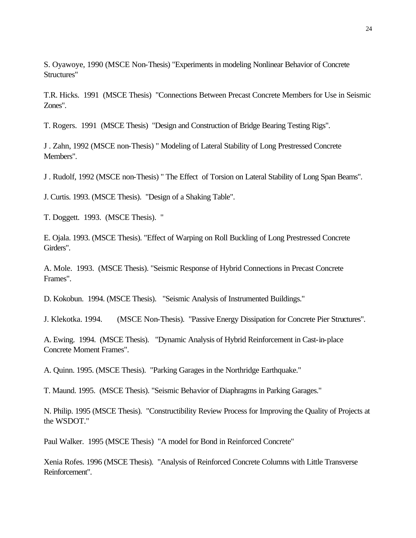S. Oyawoye, 1990 (MSCE Non-Thesis) "Experiments in modeling Nonlinear Behavior of Concrete Structures"

T.R. Hicks. 1991 (MSCE Thesis) "Connections Between Precast Concrete Members for Use in Seismic Zones".

T. Rogers. 1991 (MSCE Thesis) "Design and Construction of Bridge Bearing Testing Rigs".

J . Zahn, 1992 (MSCE non-Thesis) " Modeling of Lateral Stability of Long Prestressed Concrete Members".

J . Rudolf, 1992 (MSCE non-Thesis) " The Effect of Torsion on Lateral Stability of Long Span Beams".

J. Curtis. 1993. (MSCE Thesis). "Design of a Shaking Table".

T. Doggett. 1993. (MSCE Thesis). "

E. Ojala. 1993. (MSCE Thesis). "Effect of Warping on Roll Buckling of Long Prestressed Concrete Girders".

A. Mole. 1993. (MSCE Thesis). "Seismic Response of Hybrid Connections in Precast Concrete Frames".

D. Kokobun. 1994. (MSCE Thesis). "Seismic Analysis of Instrumented Buildings."

J. Klekotka. 1994. (MSCE Non-Thesis). "Passive Energy Dissipation for Concrete Pier Structures".

A. Ewing. 1994. (MSCE Thesis). "Dynamic Analysis of Hybrid Reinforcement in Cast-in-place Concrete Moment Frames".

A. Quinn. 1995. (MSCE Thesis). "Parking Garages in the Northridge Earthquake."

T. Maund. 1995. (MSCE Thesis). "Seismic Behavior of Diaphragms in Parking Garages."

N. Philip. 1995 (MSCE Thesis). "Constructibility Review Process for Improving the Quality of Projects at the WSDOT."

Paul Walker. 1995 (MSCE Thesis) "A model for Bond in Reinforced Concrete"

Xenia Rofes. 1996 (MSCE Thesis). "Analysis of Reinforced Concrete Columns with Little Transverse Reinforcement".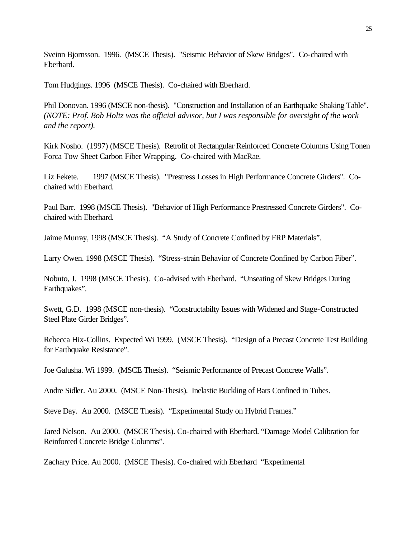Sveinn Bjornsson. 1996. (MSCE Thesis). "Seismic Behavior of Skew Bridges". Co-chaired with Eberhard.

Tom Hudgings. 1996 (MSCE Thesis). Co-chaired with Eberhard.

Phil Donovan. 1996 (MSCE non-thesis). "Construction and Installation of an Earthquake Shaking Table". *(NOTE: Prof. Bob Holtz was the official advisor, but I was responsible for oversight of the work and the report).*

Kirk Nosho. (1997) (MSCE Thesis). Retrofit of Rectangular Reinforced Concrete Columns Using Tonen Forca Tow Sheet Carbon Fiber Wrapping. Co-chaired with MacRae.

Liz Fekete. 1997 (MSCE Thesis). "Prestress Losses in High Performance Concrete Girders". Cochaired with Eberhard.

Paul Barr. 1998 (MSCE Thesis). "Behavior of High Performance Prestressed Concrete Girders". Cochaired with Eberhard.

Jaime Murray, 1998 (MSCE Thesis). "A Study of Concrete Confined by FRP Materials".

Larry Owen. 1998 (MSCE Thesis). "Stress-strain Behavior of Concrete Confined by Carbon Fiber".

Nobuto, J. 1998 (MSCE Thesis). Co-advised with Eberhard. "Unseating of Skew Bridges During Earthquakes".

Swett, G.D. 1998 (MSCE non-thesis). "Constructabilty Issues with Widened and Stage-Constructed Steel Plate Girder Bridges".

Rebecca Hix-Collins. Expected Wi 1999. (MSCE Thesis). "Design of a Precast Concrete Test Building for Earthquake Resistance".

Joe Galusha. Wi 1999. (MSCE Thesis). "Seismic Performance of Precast Concrete Walls".

Andre Sidler. Au 2000. (MSCE Non-Thesis). Inelastic Buckling of Bars Confined in Tubes.

Steve Day. Au 2000. (MSCE Thesis). "Experimental Study on Hybrid Frames."

Jared Nelson. Au 2000. (MSCE Thesis). Co-chaired with Eberhard. "Damage Model Calibration for Reinforced Concrete Bridge Colunms".

Zachary Price. Au 2000. (MSCE Thesis). Co-chaired with Eberhard "Experimental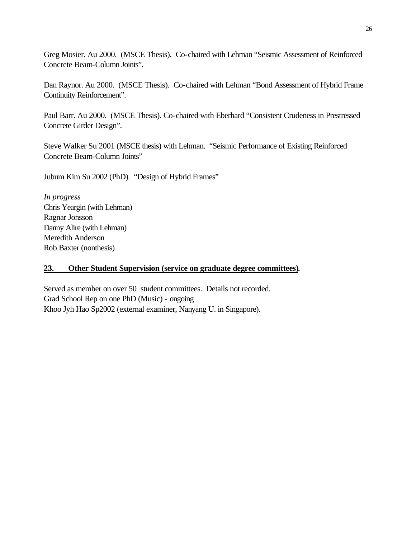Greg Mosier. Au 2000. (MSCE Thesis). Co-chaired with Lehman "Seismic Assessment of Reinforced Concrete Beam-Column Joints".

Dan Raynor. Au 2000. (MSCE Thesis). Co-chaired with Lehman "Bond Assessment of Hybrid Frame Continuity Reinforcement".

Paul Barr. Au 2000. (MSCE Thesis). Co-chaired with Eberhard "Consistent Crudeness in Prestressed Concrete Girder Design".

Steve Walker Su 2001 (MSCE thesis) with Lehman. "Seismic Performance of Existing Reinforced Concrete Beam-Column Joints"

Jubum Kim Su 2002 (PhD). "Design of Hybrid Frames"

*In progress* Chris Yeargin (with Lehman) Ragnar Jonsson Danny Alire (with Lehman) Meredith Anderson Rob Baxter (nonthesis)

## **23. Other Student Supervision (service on graduate degree committees).**

Served as member on over 50 student committees. Details not recorded. Grad School Rep on one PhD (Music) - ongoing Khoo Jyh Hao Sp2002 (external examiner, Nanyang U. in Singapore).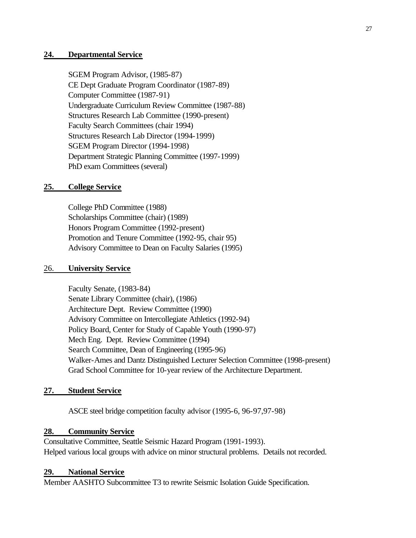### **24. Departmental Service**

SGEM Program Advisor, (1985-87) CE Dept Graduate Program Coordinator (1987-89) Computer Committee (1987-91) Undergraduate Curriculum Review Committee (1987-88) Structures Research Lab Committee (1990-present) Faculty Search Committees (chair 1994) Structures Research Lab Director (1994-1999) SGEM Program Director (1994-1998) Department Strategic Planning Committee (1997-1999) PhD exam Committees (several)

### **25. College Service**

College PhD Committee (1988) Scholarships Committee (chair) (1989) Honors Program Committee (1992-present) Promotion and Tenure Committee (1992-95, chair 95) Advisory Committee to Dean on Faculty Salaries (1995)

### 26. **University Service**

Faculty Senate, (1983-84) Senate Library Committee (chair), (1986) Architecture Dept. Review Committee (1990) Advisory Committee on Intercollegiate Athletics (1992-94) Policy Board, Center for Study of Capable Youth (1990-97) Mech Eng. Dept. Review Committee (1994) Search Committee, Dean of Engineering (1995-96) Walker-Ames and Dantz Distinguished Lecturer Selection Committee (1998-present) Grad School Committee for 10-year review of the Architecture Department.

### **27. Student Service**

ASCE steel bridge competition faculty advisor (1995-6, 96-97,97-98)

### **28. Community Service**

Consultative Committee, Seattle Seismic Hazard Program (1991-1993). Helped various local groups with advice on minor structural problems. Details not recorded.

### **29. National Service**

Member AASHTO Subcommittee T3 to rewrite Seismic Isolation Guide Specification.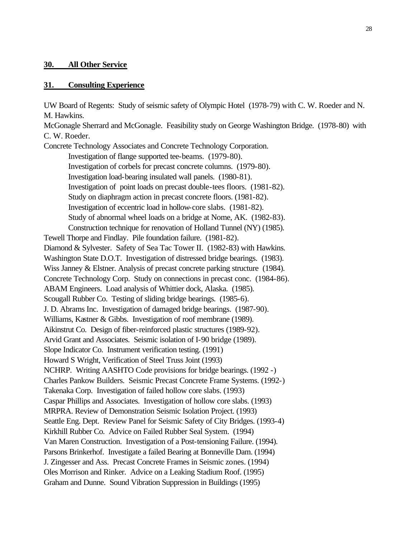### **30. All Other Service**

#### **31. Consulting Experience**

UW Board of Regents: Study of seismic safety of Olympic Hotel (1978-79) with C. W. Roeder and N. M. Hawkins.

McGonagle Sherrard and McGonagle. Feasibility study on George Washington Bridge. (1978-80) with C. W. Roeder.

Concrete Technology Associates and Concrete Technology Corporation. Investigation of flange supported tee-beams. (1979-80). Investigation of corbels for precast concrete columns. (1979-80). Investigation load-bearing insulated wall panels. (1980-81). Investigation of point loads on precast double-tees floors. (1981-82). Study on diaphragm action in precast concrete floors. (1981-82). Investigation of eccentric load in hollow-core slabs. (1981-82). Study of abnormal wheel loads on a bridge at Nome, AK. (1982-83). Construction technique for renovation of Holland Tunnel (NY) (1985). Tewell Thorpe and Findlay. Pile foundation failure. (1981-82). Diamond & Sylvester. Safety of Sea Tac Tower II. (1982-83) with Hawkins. Washington State D.O.T. Investigation of distressed bridge bearings. (1983). Wiss Janney & Elstner. Analysis of precast concrete parking structure (1984). Concrete Technology Corp. Study on connections in precast conc. (1984-86). ABAM Engineers. Load analysis of Whittier dock, Alaska. (1985). Scougall Rubber Co. Testing of sliding bridge bearings. (1985-6). J. D. Abrams Inc. Investigation of damaged bridge bearings. (1987-90). Williams, Kastner & Gibbs. Investigation of roof membrane (1989). Aikinstrut Co. Design of fiber-reinforced plastic structures (1989-92). Arvid Grant and Associates. Seismic isolation of I-90 bridge (1989). Slope Indicator Co. Instrument verification testing. (1991) Howard S Wright, Verification of Steel Truss Joint (1993) NCHRP. Writing AASHTO Code provisions for bridge bearings. (1992 -) Charles Pankow Builders. Seismic Precast Concrete Frame Systems. (1992-) Takenaka Corp. Investigation of failed hollow core slabs. (1993) Caspar Phillips and Associates. Investigation of hollow core slabs. (1993) MRPRA. Review of Demonstration Seismic Isolation Project. (1993) Seattle Eng. Dept. Review Panel for Seismic Safety of City Bridges. (1993-4) Kirkhill Rubber Co. Advice on Failed Rubber Seal System. (1994) Van Maren Construction. Investigation of a Post-tensioning Failure. (1994). Parsons Brinkerhof. Investigate a failed Bearing at Bonneville Dam. (1994) J. Zingesser and Ass. Precast Concrete Frames in Seismic zones. (1994) Oles Morrison and Rinker. Advice on a Leaking Stadium Roof. (1995) Graham and Dunne. Sound Vibration Suppression in Buildings (1995)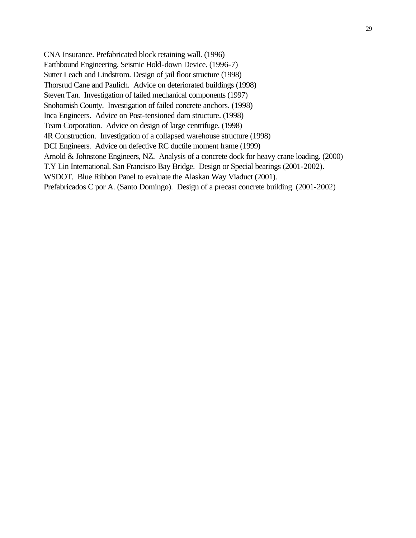CNA Insurance. Prefabricated block retaining wall. (1996) Earthbound Engineering. Seismic Hold-down Device. (1996-7) Sutter Leach and Lindstrom. Design of jail floor structure (1998) Thorsrud Cane and Paulich. Advice on deteriorated buildings (1998) Steven Tan. Investigation of failed mechanical components (1997) Snohomish County. Investigation of failed concrete anchors. (1998) Inca Engineers. Advice on Post-tensioned dam structure. (1998) Team Corporation. Advice on design of large centrifuge. (1998) 4R Construction. Investigation of a collapsed warehouse structure (1998) DCI Engineers. Advice on defective RC ductile moment frame (1999) Arnold & Johnstone Engineers, NZ. Analysis of a concrete dock for heavy crane loading. (2000) T.Y Lin International. San Francisco Bay Bridge. Design or Special bearings (2001-2002). WSDOT. Blue Ribbon Panel to evaluate the Alaskan Way Viaduct (2001). Prefabricados C por A. (Santo Domingo). Design of a precast concrete building. (2001-2002)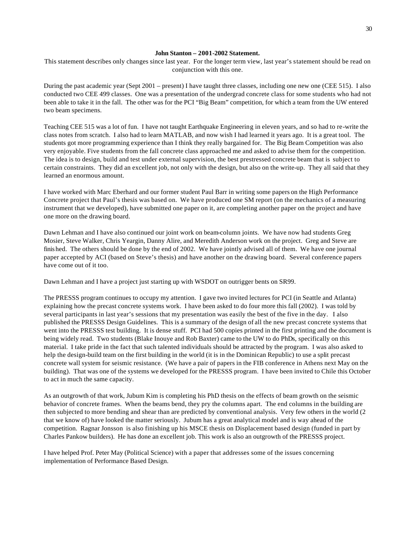#### **John Stanton – 2001-2002 Statement.**

This statement describes only changes since last year. For the longer term view, last year's statement should be read on conjunction with this one.

During the past academic year (Sept 2001 – present) I have taught three classes, including one new one (CEE 515). I also conducted two CEE 499 classes. One was a presentation of the undergrad concrete class for some students who had not been able to take it in the fall. The other was for the PCI "Big Beam" competition, for which a team from the UW entered two beam specimens.

Teaching CEE 515 was a lot of fun. I have not taught Earthquake Engineering in eleven years, and so had to re-write the class notes from scratch. I also had to learn MATLAB, and now wish I had learned it years ago. It is a great tool. The students got more programming experience than I think they really bargained for. The Big Beam Competition was also very enjoyable. Five students from the fall concrete class approached me and asked to advise them for the competition. The idea is to design, build and test under external supervision, the best prestressed concrete beam that is subject to certain constraints. They did an excellent job, not only with the design, but also on the write-up. They all said that they learned an enormous amount.

I have worked with Marc Eberhard and our former student Paul Barr in writing some papers on the High Performance Concrete project that Paul's thesis was based on. We have produced one SM report (on the mechanics of a measuring instrument that we developed), have submitted one paper on it, are completing another paper on the project and have one more on the drawing board.

Dawn Lehman and I have also continued our joint work on beam-column joints. We have now had students Greg Mosier, Steve Walker, Chris Yeargin, Danny Alire, and Meredith Anderson work on the project. Greg and Steve are finished. The others should be done by the end of 2002. We have jointly advised all of them. We have one journal paper accepted by ACI (based on Steve's thesis) and have another on the drawing board. Several conference papers have come out of it too.

Dawn Lehman and I have a project just starting up with WSDOT on outrigger bents on SR99.

The PRESSS program continues to occupy my attention. I gave two invited lectures for PCI (in Seattle and Atlanta) explaining how the precast concrete systems work. I have been asked to do four more this fall (2002). I was told by several participants in last year's sessions that my presentation was easily the best of the five in the day. I also published the PRESSS Design Guidelines. This is a summary of the design of all the new precast concrete systems that went into the PRESSS test building. It is dense stuff. PCI had 500 copies printed in the first printing and the document is being widely read. Two students (Blake Inouye and Rob Baxter) came to the UW to do PhDs, specifically on this material. I take pride in the fact that such talented individuals should be attracted by the program. I was also asked to help the design-build team on the first building in the world (it is in the Dominican Republic) to use a split precast concrete wall system for seismic resistance. (We have a pair of papers in the FIB conference in Athens next May on the building). That was one of the systems we developed for the PRESSS program. I have been invited to Chile this October to act in much the same capacity.

As an outgrowth of that work, Jubum Kim is completing his PhD thesis on the effects of beam growth on the seismic behavior of concrete frames. When the beams bend, they pry the columns apart. The end columns in the building are then subjected to more bending and shear than are predicted by conventional analysis. Very few others in the world (2 that we know of) have looked the matter seriously. Jubum has a great analytical model and is way ahead of the competition. Ragnar Jonsson is also finishing up his MSCE thesis on Displacement based design (funded in part by Charles Pankow builders). He has done an excellent job. This work is also an outgrowth of the PRESSS project.

I have helped Prof. Peter May (Political Science) with a paper that addresses some of the issues concerning implementation of Performance Based Design.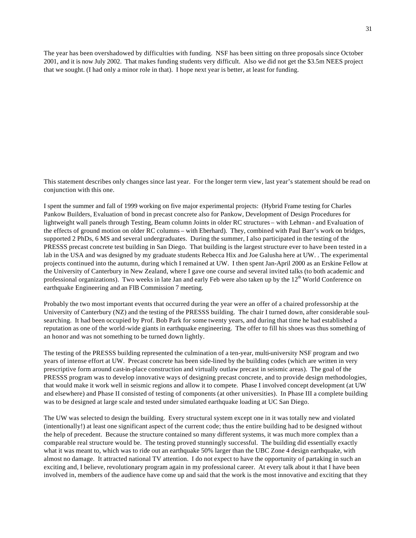The year has been overshadowed by difficulties with funding. NSF has been sitting on three proposals since October 2001, and it is now July 2002. That makes funding students very difficult. Also we did not get the \$3.5m NEES project that we sought. (I had only a minor role in that). I hope next year is better, at least for funding.

This statement describes only changes since last year. For the longer term view, last year's statement should be read on conjunction with this one.

I spent the summer and fall of 1999 working on five major experimental projects: (Hybrid Frame testing for Charles Pankow Builders, Evaluation of bond in precast concrete also for Pankow, Development of Design Procedures for lightweight wall panels through Testing, Beam column Joints in older RC structures – with Lehman - and Evaluation of the effects of ground motion on older RC columns – with Eberhard). They, combined with Paul Barr's work on bridges, supported 2 PhDs, 6 MS and several undergraduates. During the summer, I also participated in the testing of the PRESSS precast concrete test building in San Diego. That building is the largest structure ever to have been tested in a lab in the USA and was designed by my graduate students Rebecca Hix and Joe Galusha here at UW. . The experimental projects continued into the autumn, during which I remained at UW. I then spent Jan-April 2000 as an Erskine Fellow at the University of Canterbury in New Zealand, where I gave one course and several invited talks (to both academic and professional organizations). Two weeks in late Jan and early Feb were also taken up by the  $12<sup>th</sup>$  World Conference on earthquake Engineering and an FIB Commission 7 meeting.

Probably the two most important events that occurred during the year were an offer of a chaired professorship at the University of Canterbury (NZ) and the testing of the PRESSS building. The chair I turned down, after considerable soulsearching. It had been occupied by Prof. Bob Park for some twenty years, and during that time he had established a reputation as one of the world-wide giants in earthquake engineering. The offer to fill his shoes was thus something of an honor and was not something to be turned down lightly.

The testing of the PRESSS building represented the culmination of a ten-year, multi-university NSF program and two years of intense effort at UW. Precast concrete has been side-lined by the building codes (which are written in very prescriptive form around cast-in-place construction and virtually outlaw precast in seismic areas). The goal of the PRESSS program was to develop innovative ways of designing precast concrete, and to provide design methodologies, that would make it work well in seismic regions and allow it to compete. Phase I involved concept development (at UW and elsewhere) and Phase II consisted of testing of components (at other universities). In Phase III a complete building was to be designed at large scale and tested under simulated earthquake loading at UC San Diego.

The UW was selected to design the building. Every structural system except one in it was totally new and violated (intentionally!) at least one significant aspect of the current code; thus the entire building had to be designed without the help of precedent. Because the structure contained so many different systems, it was much more complex than a comparable real structure would be. The testing proved stunningly successful. The building did essentially exactly what it was meant to, which was to ride out an earthquake 50% larger than the UBC Zone 4 design earthquake, with almost no damage. It attracted national TV attention. I do not expect to have the opportunity of partaking in such an exciting and, I believe, revolutionary program again in my professional career. At every talk about it that I have been involved in, members of the audience have come up and said that the work is the most innovative and exciting that they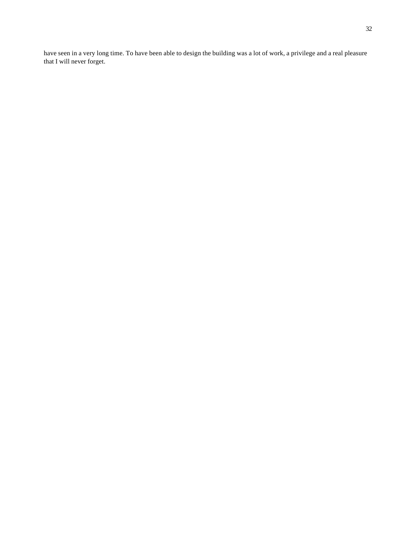have seen in a very long time. To have been able to design the building was a lot of work, a privilege and a real pleasure that I will never forget.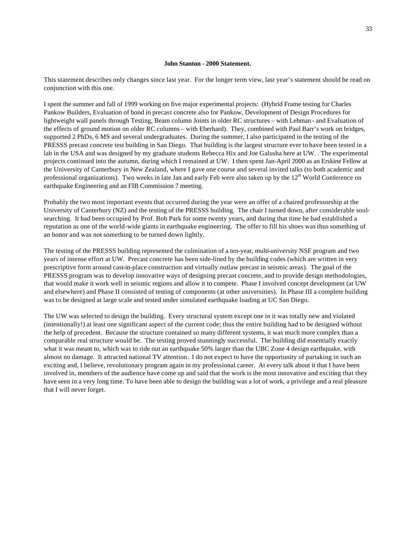#### **John Stanton - 2000 Statement.**

This statement describes only changes since last year. For the longer term view, last year's statement should be read on conjunction with this one.

I spent the summer and fall of 1999 working on five major experimental projects: (Hybrid Frame testing for Charles Pankow Builders, Evaluation of bond in precast concrete also for Pankow, Development of Design Procedures for lightweight wall panels through Testing, Beam column Joints in older RC structures – with Lehman - and Evaluation of the effects of ground motion on older RC columns – with Eberhard). They, combined with Paul Barr's work on bridges, supported 2 PhDs, 6 MS and several undergraduates. During the summer, I also participated in the testing of the PRESSS precast concrete test building in San Diego. That building is the largest structure ever to have been tested in a lab in the USA and was designed by my graduate students Rebecca Hix and Joe Galusha here at UW. . The experimental projects continued into the autumn, during which I remained at UW. I then spent Jan-April 2000 as an Erskine Fellow at the University of Canterbury in New Zealand, where I gave one course and several invited talks (to both academic and professional organizations). Two weeks in late Jan and early Feb were also taken up by the  $12<sup>th</sup>$  World Conference on earthquake Engineering and an FIB Commission 7 meeting.

Probably the two most important events that occurred during the year were an offer of a chaired professorship at the University of Canterbury (NZ) and the testing of the PRESSS building. The chair I turned down, after considerable soulsearching. It had been occupied by Prof. Bob Park for some twenty years, and during that time he had established a reputation as one of the world-wide giants in earthquake engineering. The offer to fill his shoes was thus something of an honor and was not something to be turned down lightly.

The testing of the PRESSS building represented the culmination of a ten-year, multi-university NSF program and two years of intense effort at UW. Precast concrete has been side-lined by the building codes (which are written in very prescriptive form around cast-in-place construction and virtually outlaw precast in seismic areas). The goal of the PRESSS program was to develop innovative ways of designing precast concrete, and to provide design methodologies, that would make it work well in seismic regions and allow it to compete. Phase I involved concept development (at UW and elsewhere) and Phase II consisted of testing of components (at other universities). In Phase III a complete building was to be designed at large scale and tested under simulated earthquake loading at UC San Diego.

The UW was selected to design the building. Every structural system except one in it was totally new and violated (intentionally!) at least one significant aspect of the current code; thus the entire building had to be designed without the help of precedent. Because the structure contained so many different systems, it was much more complex than a comparable real structure would be. The testing proved stunningly successful. The building did essentially exactly what it was meant to, which was to ride out an earthquake 50% larger than the UBC Zone 4 design earthquake, with almost no damage. It attracted national TV attention. I do not expect to have the opportunity of partaking in such an exciting and, I believe, revolutionary program again in my professional career. At every talk about it that I have been involved in, members of the audience have come up and said that the work is the most innovative and exciting that they have seen in a very long time. To have been able to design the building was a lot of work, a privilege and a real pleasure that I will never forget.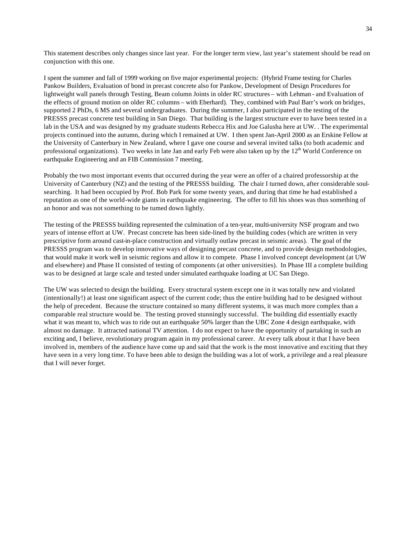This statement describes only changes since last year. For the longer term view, last year's statement should be read on conjunction with this one.

I spent the summer and fall of 1999 working on five major experimental projects: (Hybrid Frame testing for Charles Pankow Builders, Evaluation of bond in precast concrete also for Pankow, Development of Design Procedures for lightweight wall panels through Testing, Beam column Joints in older RC structures – with Lehman - and Evaluation of the effects of ground motion on older RC columns – with Eberhard). They, combined with Paul Barr's work on bridges, supported 2 PhDs, 6 MS and several undergraduates. During the summer, I also participated in the testing of the PRESSS precast concrete test building in San Diego. That building is the largest structure ever to have been tested in a lab in the USA and was designed by my graduate students Rebecca Hix and Joe Galusha here at UW. . The experimental projects continued into the autumn, during which I remained at UW. I then spent Jan-April 2000 as an Erskine Fellow at the University of Canterbury in New Zealand, where I gave one course and several invited talks (to both academic and professional organizations). Two weeks in late Jan and early Feb were also taken up by the  $12<sup>th</sup>$  World Conference on earthquake Engineering and an FIB Commission 7 meeting.

Probably the two most important events that occurred during the year were an offer of a chaired professorship at the University of Canterbury (NZ) and the testing of the PRESSS building. The chair I turned down, after considerable soulsearching. It had been occupied by Prof. Bob Park for some twenty years, and during that time he had established a reputation as one of the world-wide giants in earthquake engineering. The offer to fill his shoes was thus something of an honor and was not something to be turned down lightly.

The testing of the PRESSS building represented the culmination of a ten-year, multi-university NSF program and two years of intense effort at UW. Precast concrete has been side-lined by the building codes (which are written in very prescriptive form around cast-in-place construction and virtually outlaw precast in seismic areas). The goal of the PRESSS program was to develop innovative ways of designing precast concrete, and to provide design methodologies, that would make it work well in seismic regions and allow it to compete. Phase I involved concept development (at UW and elsewhere) and Phase II consisted of testing of components (at other universities). In Phase III a complete building was to be designed at large scale and tested under simulated earthquake loading at UC San Diego.

The UW was selected to design the building. Every structural system except one in it was totally new and violated (intentionally!) at least one significant aspect of the current code; thus the entire building had to be designed without the help of precedent. Because the structure contained so many different systems, it was much more complex than a comparable real structure would be. The testing proved stunningly successful. The building did essentially exactly what it was meant to, which was to ride out an earthquake 50% larger than the UBC Zone 4 design earthquake, with almost no damage. It attracted national TV attention. I do not expect to have the opportunity of partaking in such an exciting and, I believe, revolutionary program again in my professional career. At every talk about it that I have been involved in, members of the audience have come up and said that the work is the most innovative and exciting that they have seen in a very long time. To have been able to design the building was a lot of work, a privilege and a real pleasure that I will never forget.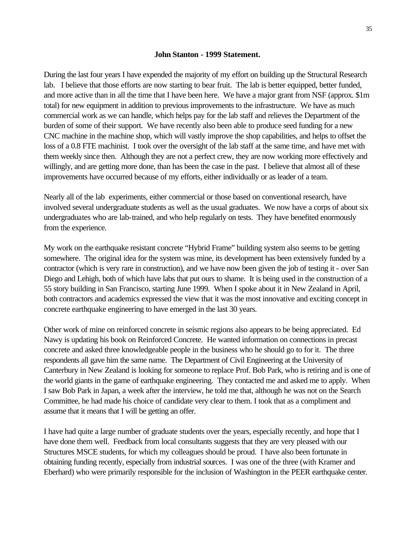#### **John Stanton - 1999 Statement.**

During the last four years I have expended the majority of my effort on building up the Structural Research lab. I believe that those efforts are now starting to bear fruit. The lab is better equipped, better funded, and more active than in all the time that I have been here. We have a major grant from NSF (approx. \$1m total) for new equipment in addition to previous improvements to the infrastructure. We have as much commercial work as we can handle, which helps pay for the lab staff and relieves the Department of the burden of some of their support. We have recently also been able to produce seed funding for a new CNC machine in the machine shop, which will vastly improve the shop capabilities, and helps to offset the loss of a 0.8 FTE machinist. I took over the oversight of the lab staff at the same time, and have met with them weekly since then. Although they are not a perfect crew, they are now working more effectively and willingly, and are getting more done, than has been the case in the past. I believe that almost all of these improvements have occurred because of my efforts, either individually or as leader of a team.

Nearly all of the lab experiments, either commercial or those based on conventional research, have involved several undergraduate students as well as the usual graduates. We now have a corps of about six undergraduates who are lab-trained, and who help regularly on tests. They have benefited enormously from the experience.

My work on the earthquake resistant concrete "Hybrid Frame" building system also seems to be getting somewhere. The original idea for the system was mine, its development has been extensively funded by a contractor (which is very rare in construction), and we have now been given the job of testing it - over San Diego and Lehigh, both of which have labs that put ours to shame. It is being used in the construction of a 55 story building in San Francisco, starting June 1999. When I spoke about it in New Zealand in April, both contractors and academics expressed the view that it was the most innovative and exciting concept in concrete earthquake engineering to have emerged in the last 30 years.

Other work of mine on reinforced concrete in seismic regions also appears to be being appreciated. Ed Nawy is updating his book on Reinforced Concrete. He wanted information on connections in precast concrete and asked three knowledgeable people in the business who he should go to for it. The three respondents all gave him the same name. The Department of Civil Engineering at the University of Canterbury in New Zealand is looking for someone to replace Prof. Bob Park, who is retiring and is one of the world giants in the game of earthquake engineering. They contacted me and asked me to apply. When I saw Bob Park in Japan, a week after the interview, he told me that, although he was not on the Search Committee, he had made his choice of candidate very clear to them. I took that as a compliment and assume that it means that I will be getting an offer.

I have had quite a large number of graduate students over the years, especially recently, and hope that I have done them well. Feedback from local consultants suggests that they are very pleased with our Structures MSCE students, for which my colleagues should be proud. I have also been fortunate in obtaining funding recently, especially from industrial sources. I was one of the three (with Kramer and Eberhard) who were primarily responsible for the inclusion of Washington in the PEER earthquake center.